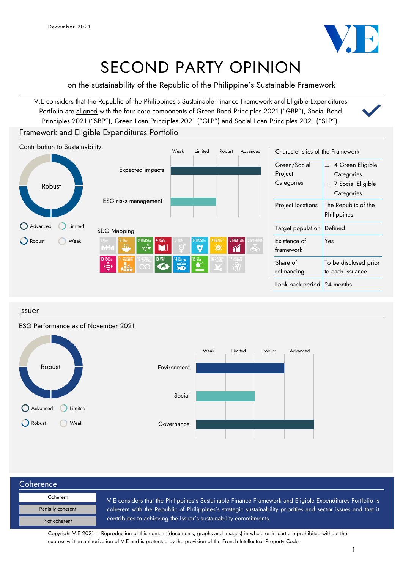

# SECOND PARTY OPINION

on the sustainability of the Republic of the Philippine's Sustainable Framework

V.E considers that the Republic of the Philippines's Sustainable Finance Framework and Eligible Expenditures Portfolio are aligned with the four core components of Green Bond Principles 2021 ("GBP"), Social Bond Principles 2021 ("SBP"), Green Loan Principles 2021 ("GLP") and Social Loan Principles 2021 ("SLP").

## Framework and Eligible Expenditures Portfolio



## Issuer

## ESG Performance as of November 2021



| Coherence          |                                                                                                               |  |  |  |  |
|--------------------|---------------------------------------------------------------------------------------------------------------|--|--|--|--|
| Coherent           | V.E considers that the Philippines's Sustainable Finance Framework and Eligible Expenditures Portfolio is     |  |  |  |  |
| Partially coherent | coherent with the Republic of Philippines's strategic sustainability priorities and sector issues and that it |  |  |  |  |
| Not coherent       | contributes to achieving the Issuer's sustainability commitments.                                             |  |  |  |  |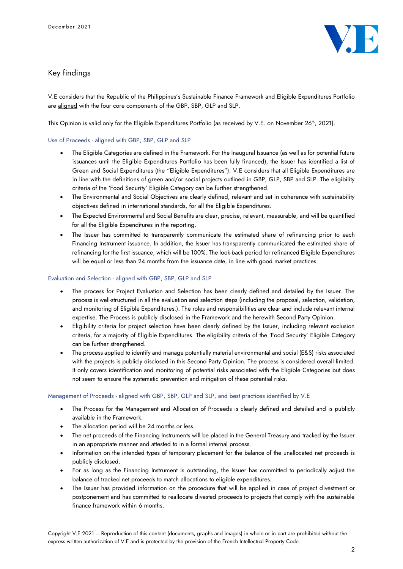

## Key findings

V.E considers that the Republic of the Philippines's Sustainable Finance Framework and Eligible Expenditures Portfolio are aligned with the four core components of the GBP, SBP, GLP and SLP.

This Opinion is valid only for the Eligible Expenditures Portfolio (as received by V.E. on November  $26<sup>th</sup>$ , 2021).

#### Use of Proceeds - aligned with GBP, SBP, GLP and SLP

- The Eligible Categories are defined in the Framework. For the Inaugural Issuance (as well as for potential future issuances until the Eligible Expenditures Portfolio has been fully financed), the Issuer has identified a list of Green and Social Expenditures (the "Eligible Expenditures"). V.E considers that all Eligible Expenditures are in line with the definitions of green and/or social projects outlined in GBP, GLP, SBP and SLP. The eligibility criteria of the 'Food Security' Eligible Category can be further strengthened.
- The Environmental and Social Objectives are clearly defined, relevant and set in coherence with sustainability objectives defined in international standards, for all the Eligible Expenditures.
- The Expected Environmental and Social Benefits are clear, precise, relevant, measurable, and will be quantified for all the Eligible Expenditures in the reporting.
- The Issuer has committed to transparently communicate the estimated share of refinancing prior to each Financing Instrument issuance. In addition, the Issuer has transparently communicated the estimated share of refinancing for the first issuance, which will be 100%. The look-back period for refinanced Eligible Expenditures will be equal or less than 24 months from the issuance date, in line with good market practices.

### Evaluation and Selection - aligned with GBP, SBP, GLP and SLP

- The process for Project Evaluation and Selection has been clearly defined and detailed by the Issuer. The process is well-structured in all the evaluation and selection steps (including the proposal, selection, validation, and monitoring of Eligible Expenditures.). The roles and responsibilities are clear and include relevant internal expertise. The Process is publicly disclosed in the Framework and the herewith Second Party Opinion.
- Eligibility criteria for project selection have been clearly defined by the Issuer, including relevant exclusion criteria, for a majority of Eligible Expenditures. The eligibility criteria of the 'Food Security' Eligible Category can be further strengthened.
- The process applied to identify and manage potentially material environmental and social (E&S) risks associated with the projects is publicly disclosed in this Second Party Opinion. The process is considered overall limited. It only covers identification and monitoring of potential risks associated with the Eligible Categories but does not seem to ensure the systematic prevention and mitigation of these potential risks.

#### Management of Proceeds - aligned with GBP, SBP, GLP and SLP, and best practices identified by V.E

- The Process for the Management and Allocation of Proceeds is clearly defined and detailed and is publicly available in the Framework.
- The allocation period will be 24 months or less.
- The net proceeds of the Financing Instruments will be placed in the General Treasury and tracked by the Issuer in an appropriate manner and attested to in a formal internal process.
- Information on the intended types of temporary placement for the balance of the unallocated net proceeds is publicly disclosed.
- For as long as the Financing Instrument is outstanding, the Issuer has committed to periodically adjust the balance of tracked net proceeds to match allocations to eligible expenditures.
- The Issuer has provided information on the procedure that will be applied in case of project divestment or postponement and has committed to reallocate divested proceeds to projects that comply with the sustainable finance framework within 6 months.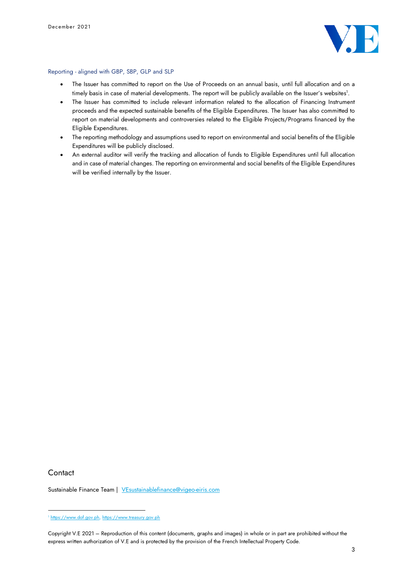

#### Reporting - aligned with GBP, SBP, GLP and SLP

- The Issuer has committed to report on the Use of Proceeds on an annual basis, until full allocation and on a timely basis in case of material developments. The report will be publicly available on the Issuer's websites 1 .
- The Issuer has committed to include relevant information related to the allocation of Financing Instrument proceeds and the expected sustainable benefits of the Eligible Expenditures. The Issuer has also committed to report on material developments and controversies related to the Eligible Projects/Programs financed by the Eligible Expenditures.
- The reporting methodology and assumptions used to report on environmental and social benefits of the Eligible Expenditures will be publicly disclosed.
- An external auditor will verify the tracking and allocation of funds to Eligible Expenditures until full allocation and in case of material changes. The reporting on environmental and social benefits of the Eligible Expenditures will be verified internally by the Issuer.

## **Contact**

Sustainable Finance Team | [VEsustainablefinance@vigeo-eiris.com](mailto:VEsustainablefinance@vigeo-eiris.com)

<sup>1</sup> [https://www.dof.gov.ph,](https://www.dof.gov.ph/) [https://www.treasury.gov.ph](https://www.treasury.gov.ph/)

Copyright V.E 2021 – Reproduction of this content (documents, graphs and images) in whole or in part are prohibited without the express written authorization of V.E and is protected by the provision of the French Intellectual Property Code.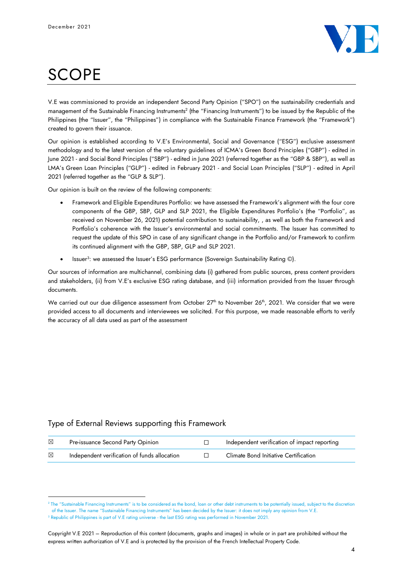

# **SCOPE**

V.E was commissioned to provide an independent Second Party Opinion ("SPO") on the sustainability credentials and management of the Sustainable Financing Instruments<sup>2</sup> (the "Financing Instruments") to be issued by the Republic of the Philippines (the "Issuer", the "Philippines") in compliance with the Sustainable Finance Framework (the "Framework") created to govern their issuance.

Our opinion is established according to V.E's Environmental, Social and Governance ("ESG") exclusive assessment methodology and to the latest version of the voluntary guidelines of ICMA's Green Bond Principles ("GBP") - edited in June 2021 - and Social Bond Principles ("SBP") - edited in June 2021 (referred together as the "GBP & SBP"), as well as LMA's Green Loan Principles ("GLP") - edited in February 2021 - and Social Loan Principles ("SLP") - edited in April 2021 (referred together as the "GLP & SLP").

Our opinion is built on the review of the following components:

- Framework and Eligible Expenditures Portfolio: we have assessed the Framework's alignment with the four core components of the GBP, SBP, GLP and SLP 2021, the Eligible Expenditures Portfolio's (the "Portfolio", as received on November 26, 2021) potential contribution to sustainability, , as well as both the Framework and Portfolio's coherence with the Issuer's environmental and social commitments. The Issuer has committed to request the update of this SPO in case of any significant change in the Portfolio and/or Framework to confirm its continued alignment with the GBP, SBP, GLP and SLP 2021.
- $\bullet$  Issuer<sup>3</sup>: we assessed the Issuer's ESG performance (Sovereign Sustainability Rating  $\circledcirc$ ).

Our sources of information are multichannel, combining data (i) gathered from public sources, press content providers and stakeholders, (ii) from V.E's exclusive ESG rating database, and (iii) information provided from the Issuer through documents.

We carried out our due diligence assessment from October 27<sup>th</sup> to November 26<sup>th</sup>, 2021. We consider that we were provided access to all documents and interviewees we solicited. For this purpose, we made reasonable efforts to verify the accuracy of all data used as part of the assessment

# Type of External Reviews supporting this Framework

| ⊠ | Pre-issuance Second Party Opinion            | Independent verification of impact reporting |
|---|----------------------------------------------|----------------------------------------------|
| ⊠ | Independent verification of funds allocation | Climate Bond Initiative Certification        |

<sup>2</sup> The "Sustainable Financing Instruments" is to be considered as the bond, loan or other debt instruments to be potentially issued, subject to the discretion of the Issuer. The name "Sustainable Financing Instruments" has been decided by the Issuer: it does not imply any opinion from V.E. <sup>3</sup> Republic of Philippines is part of V.E rating universe - the last ESG rating was performed in November 2021.

Copyright V.E 2021 – Reproduction of this content (documents, graphs and images) in whole or in part are prohibited without the express written authorization of V.E and is protected by the provision of the French Intellectual Property Code.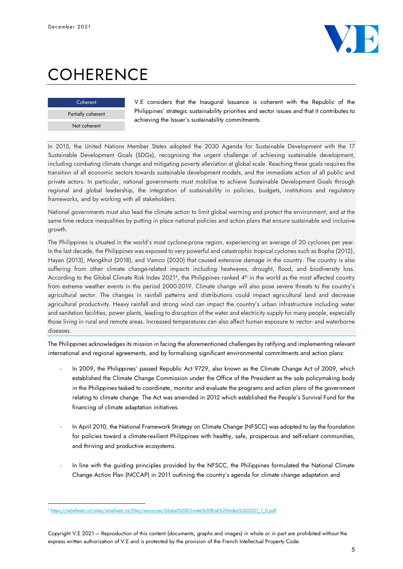

# **COHERENCE**

| Coherent           |  |
|--------------------|--|
| Partially coherent |  |
| Not coherent       |  |

V.E considers that the Inaugural Issuance is coherent with the Republic of the Philippines' strategic sustainability priorities and sector issues and that it contributes to achieving the Issuer's sustainability commitments.

In 2015, the United Nations Member States adopted the 2030 Agenda for Sustainable Development with the 17 Sustainable Development Goals (SDGs), recognising the urgent challenge of achieving sustainable development, including combating climate change and mitigating poverty alleviation at global scale. Reaching these goals requires the transition of all economic sectors towards sustainable development models, and the immediate action of all public and private actors. In particular, national governments must mobilise to achieve Sustainable Development Goals through regional and global leadership, the integration of sustainability in policies, budgets, institutions and regulatory frameworks, and by working with all stakeholders.

National governments must also lead the climate action to limit global warming and protect the environment, and at the same time reduce inequalities by putting in place national policies and action plans that ensure sustainable and inclusive growth.

The Philippines is situated in the world's most cyclone-prone region, experiencing an average of 20 cyclones per year. In the last decade, the Philippines was exposed to very powerful and catastrophic tropical cyclones such as Bopha (2012), Hayan (2013), Mangkhut (2018), and Vamco (2020) that caused extensive damage in the country. The country is also suffering from other climate change-related impacts including heatwaves, drought, flood, and biodiversity loss. According to the Global Climate Risk Index 2021<sup>4</sup>, the Philippines ranked 4<sup>th</sup> in the world as the most affected country from extreme weather events in the period 2000-2019. Climate change will also pose severe threats to the country's agricultural sector. The changes in rainfall patterns and distributions could impact agricultural land and decrease agricultural productivity. Heavy rainfall and strong wind can impact the country's urban infrastructure including water and sanitation facilities, power plants, leading to disruption of the water and electricity supply for many people, especially those living in rural and remote areas. Increased temperatures can also affect human exposure to vector- and waterborne diseases.

The Philippines acknowledges its mission in facing the aforementioned challenges by ratifying and implementing relevant international and regional agreements, and by formalising significant environmental commitments and action plans:

- In 2009, the Philippines' passed Republic Act 9729, also known as the Climate Change Act of 2009, which established the Climate Change Commission under the Office of the President as the sole policymaking body in the Philippines tasked to coordinate, monitor and evaluate the programs and action plans of the government relating to climate change. The Act was amended in 2012 which established the People's Survival Fund for the financing of climate adaptation initiatives.
- In April 2010, the National Framework Strategy on Climate Change (NFSCC) was adopted to lay the foundation for policies toward a climate-resilient Philippines with healthy, safe, prosperous and self-reliant communities, and thriving and productive ecosystems.
- In line with the guiding principles provided by the NFSCC, the Philippines formulated the National Climate Change Action Plan (NCCAP) in 2011 outlining the country's agenda for climate change adaptation and

<sup>4</sup> [https://reliefweb.int/sites/reliefweb.int/files/resources/Global%20Climate%20Risk%20Index%202021\\_1\\_0.pdf](https://reliefweb.int/sites/reliefweb.int/files/resources/Global%20Climate%20Risk%20Index%202021_1_0.pdf)

Copyright V.E 2021 – Reproduction of this content (documents, graphs and images) in whole or in part are prohibited without the express written authorization of V.E and is protected by the provision of the French Intellectual Property Code.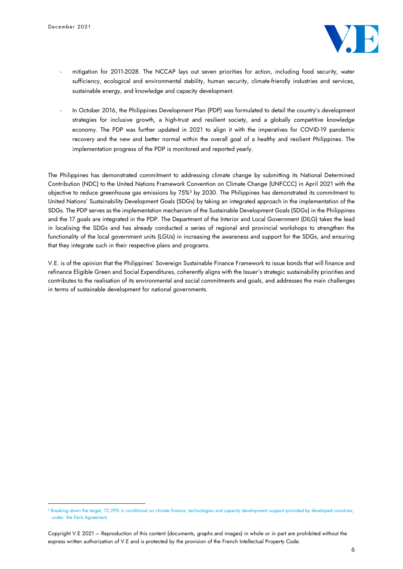

- mitigation for 2011-2028. The NCCAP lays out seven priorities for action, including food security, water sufficiency, ecological and environmental stability, human security, climate-friendly industries and services, sustainable energy, and knowledge and capacity development.
- In October 2016, the Philippines Development Plan (PDP) was formulated to detail the country's development strategies for inclusive growth, a high-trust and resilient society, and a globally competitive knowledge economy. The PDP was further updated in 2021 to align it with the imperatives for COVID-19 pandemic recovery and the new and better normal within the overall goal of a healthy and resilient Philippines. The implementation progress of the PDP is monitored and reported yearly.

The Philippines has demonstrated commitment to addressing climate change by submitting its National Determined Contribution (NDC) to the United Nations Framework Convention on Climate Change (UNFCCC) in April 2021 with the objective to reduce greenhouse gas emissions by 75%<sup>5</sup> by 2030. The Philippines has demonstrated its commitment to United Nations' Sustainability Development Goals (SDGs) by taking an integrated approach in the implementation of the SDGs. The PDP serves as the implementation mechanism of the Sustainable Development Goals (SDGs) in the Philippines and the 17 goals are integrated in the PDP. The Department of the Interior and Local Government (DILG) takes the lead in localising the SDGs and has already conducted a series of regional and provincial workshops to strengthen the functionality of the local government units (LGUs) in increasing the awareness and support for the SDGs, and ensuring that they integrate such in their respective plans and programs.

V.E. is of the opinion that the Philippines' Sovereign Sustainable Finance Framework to issue bonds that will finance and refinance Eligible Green and Social Expenditures, coherently aligns with the Issuer's strategic sustainability priorities and contributes to the realisation of its environmental and social commitments and goals, and addresses the main challenges in terms of sustainable development for national governments.

<sup>5</sup> Breaking down the target, 72.29% is conditional on climate finance, technologies and capacity development support provided by developed countries, under the Paris Agreement.

Copyright V.E 2021 – Reproduction of this content (documents, graphs and images) in whole or in part are prohibited without the express written authorization of V.E and is protected by the provision of the French Intellectual Property Code.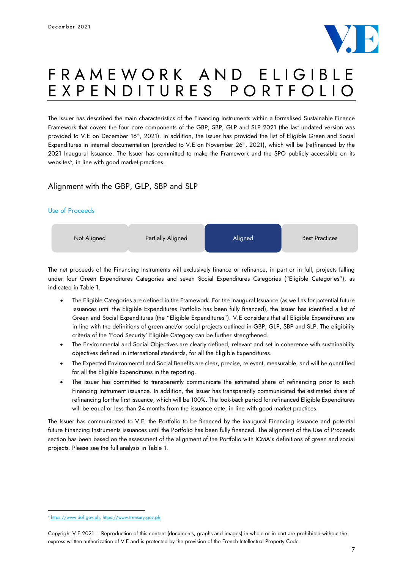

# F R A M E W O R K A N D E L I G I B L E<br>E X P E N D I T U R E S P O R T F O L I O E X P E N D I T U R E S

The Issuer has described the main characteristics of the Financing Instruments within a formalised Sustainable Finance Framework that covers the four core components of the GBP, SBP, GLP and SLP 2021 (the last updated version was provided to V.E on December 16<sup>th</sup>, 2021). In addition, the Issuer has provided the list of Eligible Green and Social Expenditures in internal documentation (provided to V.E on November 26<sup>th</sup>, 2021), which will be (re)financed by the 2021 Inaugural Issuance. The Issuer has committed to make the Framework and the SPO publicly accessible on its websites 6 , in line with good market practices.

## Alignment with the GBP, GLP, SBP and SLP

## Use of Proceeds



The net proceeds of the Financing Instruments will exclusively finance or refinance, in part or in full, projects falling under four Green Expenditures Categories and seven Social Expenditures Categories ("Eligible Categories"), as indicated in Table 1.

- The Eligible Categories are defined in the Framework. For the Inaugural Issuance (as well as for potential future issuances until the Eligible Expenditures Portfolio has been fully financed), the Issuer has identified a list of Green and Social Expenditures (the "Eligible Expenditures"). V.E considers that all Eligible Expenditures are in line with the definitions of green and/or social projects outlined in GBP, GLP, SBP and SLP. The eligibility criteria of the 'Food Security' Eligible Category can be further strengthened.
- The Environmental and Social Objectives are clearly defined, relevant and set in coherence with sustainability objectives defined in international standards, for all the Eligible Expenditures.
- The Expected Environmental and Social Benefits are clear, precise, relevant, measurable, and will be quantified for all the Eligible Expenditures in the reporting.
- The Issuer has committed to transparently communicate the estimated share of refinancing prior to each Financing Instrument issuance. In addition, the Issuer has transparently communicated the estimated share of refinancing for the first issuance, which will be 100%. The look-back period for refinanced Eligible Expenditures will be equal or less than 24 months from the issuance date, in line with good market practices.

The Issuer has communicated to V.E. the Portfolio to be financed by the inaugural Financing issuance and potential future Financing Instruments issuances until the Portfolio has been fully financed. The alignment of the Use of Proceeds section has been based on the assessment of the alignment of the Portfolio with ICMA's definitions of green and social projects. Please see the full analysis in Table 1.

<sup>6</sup> [https://www.dof.gov.ph,](https://www.dof.gov.ph/) [https://www.treasury.gov.ph](https://www.treasury.gov.ph/)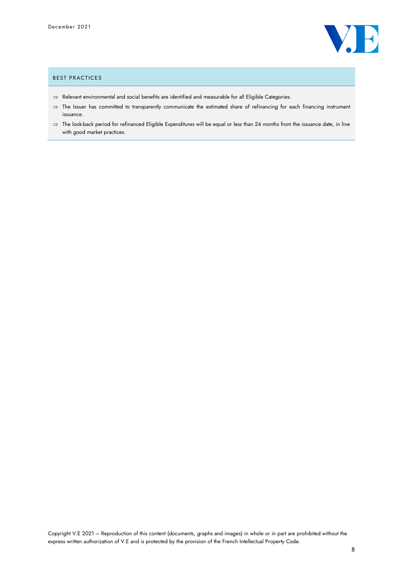

#### BEST PRACTICES

- $\Rightarrow$  Relevant environmental and social benefits are identified and measurable for all Eligible Categories.
- $\Rightarrow$  The Issuer has committed to transparently communicate the estimated share of refinancing for each financing instrument issuance.
- $\Rightarrow$  The look-back period for refinanced Eligible Expenditures will be equal or less than 24 months from the issuance date, in line with good market practices.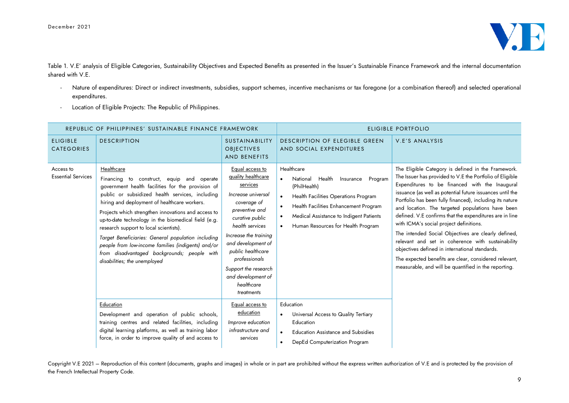

Table 1. V.E' analysis of Eligible Categories, Sustainability Objectives and Expected Benefits as presented in the Issuer's Sustainable Finance Framework and the internal documentation shared with V.E.

- Nature of expenditures: Direct or indirect investments, subsidies, support schemes, incentive mechanisms or tax foregone (or a combination thereof) and selected operational expenditures.
- Location of Eligible Projects: The Republic of Philippines.

| REPUBLIC OF PHILIPPINES' SUSTAINABLE FINANCE FRAMEWORK |                                                                                                                                                                                                                                                                                                                                                                                                                                                                                                                                                                    |                                                                                                                                                                                                                                                                                                               | ELIGIBLE PORTFOLIO                                                                                                                                                                                                                                             |                                                                                                                                                                                                                                                                                                                                                                                                                                                                                                                                                                                                                                                                                                                                    |
|--------------------------------------------------------|--------------------------------------------------------------------------------------------------------------------------------------------------------------------------------------------------------------------------------------------------------------------------------------------------------------------------------------------------------------------------------------------------------------------------------------------------------------------------------------------------------------------------------------------------------------------|---------------------------------------------------------------------------------------------------------------------------------------------------------------------------------------------------------------------------------------------------------------------------------------------------------------|----------------------------------------------------------------------------------------------------------------------------------------------------------------------------------------------------------------------------------------------------------------|------------------------------------------------------------------------------------------------------------------------------------------------------------------------------------------------------------------------------------------------------------------------------------------------------------------------------------------------------------------------------------------------------------------------------------------------------------------------------------------------------------------------------------------------------------------------------------------------------------------------------------------------------------------------------------------------------------------------------------|
| <b>ELIGIBLE</b><br><b>CATEGORIES</b>                   | <b>DESCRIPTION</b>                                                                                                                                                                                                                                                                                                                                                                                                                                                                                                                                                 | <b>SUSTAINABILITY</b><br><b>OBIECTIVES</b><br><b>AND BENEFITS</b>                                                                                                                                                                                                                                             | DESCRIPTION OF ELEGIBLE GREEN<br>AND SOCIAL EXPENDITURES                                                                                                                                                                                                       | V.E'S ANALYSIS                                                                                                                                                                                                                                                                                                                                                                                                                                                                                                                                                                                                                                                                                                                     |
| Access to<br><b>Essential Services</b>                 | Healthcare<br>Financing to construct, equip and operate<br>government health facilities for the provision of<br>public or subsidized health services, including<br>hiring and deployment of healthcare workers.<br>Projects which strengthen innovations and access to<br>up-to-date technology in the biomedical field (e.g.<br>research support to local scientists).<br>Target Beneficiaries: General population including<br>people from low-income families (indigents) and/or<br>from disadvantaged backgrounds; people with<br>disabilities; the unemployed | Equal access to<br>quality healthcare<br>services<br>Increase universal<br>coverage of<br>preventive and<br>curative public<br>health services<br>Increase the training<br>and development of<br>public healthcare<br>professionals<br>Support the research<br>and development of<br>healthcare<br>treatments | Healthcare<br>National<br>Health<br>Insurance<br>Program<br>(PhilHealth)<br><b>Health Facilities Operations Program</b><br>$\bullet$<br>Health Facilities Enhancement Program<br>Medical Assistance to Indigent Patients<br>Human Resources for Health Program | The Eligible Category is defined in the Framework.<br>The Issuer has provided to V.E the Portfolio of Eligible<br>Expenditures to be financed with the Inaugural<br>issuance (as well as potential future issuances until the<br>Portfolio has been fully financed), including its nature<br>and location. The targeted populations have been<br>defined. V.E confirms that the expenditures are in line<br>with ICMA's social project definitions.<br>The intended Social Objectives are clearly defined,<br>relevant and set in coherence with sustainability<br>objectives defined in international standards.<br>The expected benefits are clear, considered relevant,<br>measurable, and will be quantified in the reporting. |
|                                                        | Education<br>Development and operation of public schools,<br>training centres and related facilities, including<br>digital learning platforms, as well as training labor<br>force, in order to improve quality of and access to                                                                                                                                                                                                                                                                                                                                    | Equal access to<br>education<br>Improve education<br>infrastructure and<br>services                                                                                                                                                                                                                           | Education<br>Universal Access to Quality Tertiary<br>Education<br><b>Education Assistance and Subsidies</b><br>DepEd Computerization Program                                                                                                                   |                                                                                                                                                                                                                                                                                                                                                                                                                                                                                                                                                                                                                                                                                                                                    |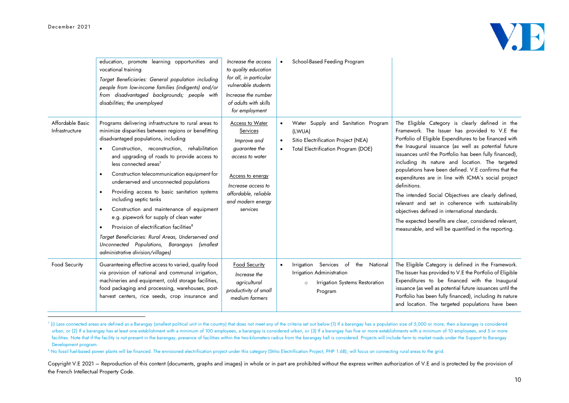

|                                    | education, promote learning opportunities and<br>vocational training<br>Target Beneficiaries: General population including<br>people from low-income families (indigents) and/or<br>from disadvantaged backgrounds; people with<br>disabilities; the unemployed                                                                                                                                                                                                                                                                                                                                                                                                                                                                                                                               | Increase the access<br>to quality education<br>for all, in particular<br>vulnerable students<br>Increase the number<br>of adults with skills<br>for employment                    | School-Based Feeding Program<br>$\bullet$                                                                                                                    |                                                                                                                                                                                                                                                                                                                                                                                                                                                                                                                                                                                                                                                                                                                                               |
|------------------------------------|-----------------------------------------------------------------------------------------------------------------------------------------------------------------------------------------------------------------------------------------------------------------------------------------------------------------------------------------------------------------------------------------------------------------------------------------------------------------------------------------------------------------------------------------------------------------------------------------------------------------------------------------------------------------------------------------------------------------------------------------------------------------------------------------------|-----------------------------------------------------------------------------------------------------------------------------------------------------------------------------------|--------------------------------------------------------------------------------------------------------------------------------------------------------------|-----------------------------------------------------------------------------------------------------------------------------------------------------------------------------------------------------------------------------------------------------------------------------------------------------------------------------------------------------------------------------------------------------------------------------------------------------------------------------------------------------------------------------------------------------------------------------------------------------------------------------------------------------------------------------------------------------------------------------------------------|
| Affordable Basic<br>Infrastructure | Programs delivering infrastructure to rural areas to<br>minimize disparities between regions or benefitting<br>disadvantaged populations, including<br>Construction, reconstruction, rehabilitation<br>and upgrading of roads to provide access to<br>less connected area <sup>7</sup><br>Construction telecommunication equipment for<br>underserved and unconnected populations<br>Providing access to basic sanitation systems<br>$\bullet$<br>including septic tanks<br>Construction and maintenance of equipment<br>$\bullet$<br>e.g. pipework for supply of clean water<br>Provision of electrification facilities <sup>8</sup><br>$\bullet$<br>Target Beneficiaries: Rural Areas, Underserved and<br>Unconnected Populations, Barangays (smallest<br>administrative division/villages) | Access to Water<br>Services<br>Improve and<br>guarantee the<br>access to water<br>Access to energy<br>Increase access to<br>affordable, reliable<br>and modern energy<br>services | Water Supply and Sanitation Program<br>$\bullet$<br>(LWUA)<br>Sitio Electrification Project (NEA)<br>$\bullet$<br><b>Total Electrification Program (DOE)</b> | The Eligible Category is clearly defined in the<br>Framework. The Issuer has provided to V.E the<br>Portfolio of Eligible Expenditures to be financed with<br>the Inaugural issuance (as well as potential future<br>issuances until the Portfolio has been fully financed),<br>including its nature and location. The targeted<br>populations have been defined. V.E confirms that the<br>expenditures are in line with ICMA's social project<br>definitions.<br>The intended Social Objectives are clearly defined,<br>relevant and set in coherence with sustainability<br>objectives defined in international standards.<br>The expected benefits are clear, considered relevant,<br>measurable, and will be quantified in the reporting. |
| Food Security                      | Guaranteeing effective access to varied, quality food<br>via provision of national and communal irrigation,<br>machineries and equipment, cold storage facilities,<br>food packaging and processing, warehouses, post-<br>harvest centers, rice seeds, crop insurance and                                                                                                                                                                                                                                                                                                                                                                                                                                                                                                                     | Food Security<br>Increase the<br>agricultural<br>productivity of small<br>medium farmers                                                                                          | Irrigation Services of<br>the<br>National<br>$\bullet$<br>Irrigation Administration<br>Irrigation Systems Restoration<br>$\circ$<br>Program                  | The Eligible Category is defined in the Framework.<br>The Issuer has provided to V.E the Portfolio of Eligible<br>Expenditures to be financed with the Inaugural<br>issuance (as well as potential future issuances until the<br>Portfolio has been fully financed), including its nature<br>and location. The targeted populations have been                                                                                                                                                                                                                                                                                                                                                                                                 |

<sup>&</sup>lt;sup>7</sup> (i) Less connected areas are defined as a Barangay (smallest political unit in the country) that does not meet any of the criteria set out below:(1) If a barangay has a population size of 5,000 or more, then a barangay urban, or (2) If a barangay has at least one establishment with a minimum of 100 employees, a barangay is considered urban, or (3) If a barangay has five or more establishments with a minimum of 10 employees, and 5 or more facilities. Note that if the facility is not present in the barangay, presence of facilities within the two-kilometers radius from the barangay hall is considered. Projects will include farm to market roads under the Suppo Development program.

<sup>&</sup>lt;sup>8</sup> No fossil fuel-based power plants will be financed. The envisioned electrification project under this category (Stitio Electrification Project, PHP 1.6B), will focus on connecting rural areas to the grid.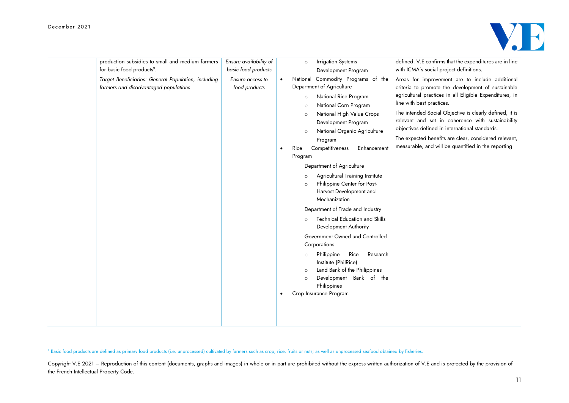

| production subsidies to small and medium farmers<br>for basic food products <sup>9</sup> .<br>Target Beneficiaries: General Population, including<br>farmers and disadvantaged populations | Ensure availability of<br>basic food products<br>Ensure access to<br>food products | $\bullet$ | <b>Irrigation Systems</b><br>$\circ$<br>Development Program<br>National Commodity Programs of the<br>Department of Agriculture                                                                                                                                                                                                                                                                                                                                                                                                                                                                                                                                                                                                                                          | defined. V.E confirms that the expenditures are in line<br>with ICMA's social project definitions.<br>Areas for improvement are to include additional<br>criteria to promote the development of sustainable                                                                                                                                                             |
|--------------------------------------------------------------------------------------------------------------------------------------------------------------------------------------------|------------------------------------------------------------------------------------|-----------|-------------------------------------------------------------------------------------------------------------------------------------------------------------------------------------------------------------------------------------------------------------------------------------------------------------------------------------------------------------------------------------------------------------------------------------------------------------------------------------------------------------------------------------------------------------------------------------------------------------------------------------------------------------------------------------------------------------------------------------------------------------------------|-------------------------------------------------------------------------------------------------------------------------------------------------------------------------------------------------------------------------------------------------------------------------------------------------------------------------------------------------------------------------|
|                                                                                                                                                                                            |                                                                                    | $\bullet$ | National Rice Program<br>$\circ$<br>National Corn Program<br>$\circ$<br>National High Value Crops<br>$\circ$<br>Development Program<br>National Organic Agriculture<br>$\circ$<br>Program<br>Enhancement<br>Competitiveness<br>Rice<br>Program<br>Department of Agriculture<br>Agricultural Training Institute<br>$\circ$<br>Philippine Center for Post-<br>$\circ$<br>Harvest Development and<br>Mechanization<br>Department of Trade and Industry<br><b>Technical Education and Skills</b><br>Development Authority<br>Government Owned and Controlled<br>Corporations<br>Research<br>Philippine<br>Rice<br>$\circ$<br>Institute (PhilRice)<br>Land Bank of the Philippines<br>$\circ$<br>Development Bank of the<br>$\circ$<br>Philippines<br>Crop Insurance Program | agricultural practices in all Eligible Expenditures, in<br>line with best practices.<br>The intended Social Objective is clearly defined, it is<br>relevant and set in coherence with sustainability<br>objectives defined in international standards.<br>The expected benefits are clear, considered relevant,<br>measurable, and will be quantified in the reporting. |

<sup>&</sup>lt;sup>9</sup> Basic food products are defined as primary food products (i.e. unprocessed) cultivated by farmers such as crop, rice, fruits or nuts; as well as unprocessed seafood obtained by fisheries.

Copyright V.E 2021 – Reproduction of this content (documents, graphs and images) in whole or in part are prohibited without the express written authorization of V.E and is protected by the provision of the French Intellectual Property Code.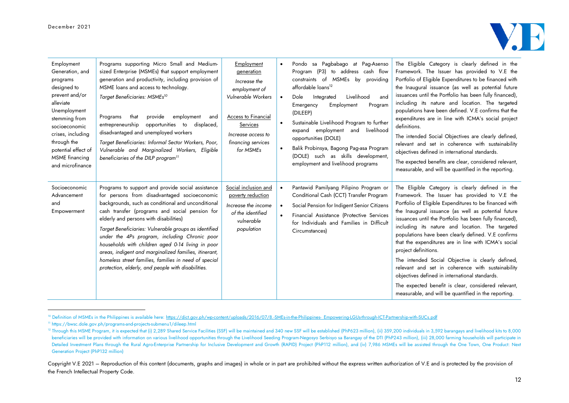

| Employment<br>Generation, and<br>programs<br>designed to<br>prevent and/or<br>alleviate<br>Unemployment<br>stemming from<br>socioeconomic<br>crises, including<br>through the<br>potential effect of<br>MSME financing<br>and microfinance | Programs supporting Micro Small and Medium-<br>sized Enterprise (MSMEs) that support employment<br>generation and productivity, including provision of<br>MSME loans and access to technology.<br>Target Beneficiaries: MSMEs <sup>10</sup><br>provide<br>employment<br>Programs<br>that<br>and<br>entrepreneurship opportunities to displaced,<br>disadvantaged and unemployed workers<br>Target Beneficiaries: Informal Sector Workers, Poor,<br>Vulnerable and Marginalized Workers, Eligible<br>beneficiaries of the DILP program <sup>11</sup>                                        | Employment<br>generation<br>Increase the<br>employment of<br>Vulnerable Workers<br>Access to Financial<br>Services<br>Increase access to<br>financing services<br>for MSMEs | $\bullet$ | Pondo sa Pagbabago at Pag-Asenso<br>Program (P3) to address cash flow<br>constraints of MSMEs by providing<br>affordable loans <sup>12</sup><br>Livelihood<br>Dole<br>Integrated<br>and<br>Emergency<br>Employment<br>Program<br>(DILEEP)<br>Sustainable Livelihood Program to further<br>expand employment and<br>livelihood<br>opportunities (DOLE)<br>Balik Probinsya, Bagong Pag-asa Program<br>(DOLE) such as skills development,<br>employment and livelihood programs | The Eligible Category is clearly defined in the<br>Framework. The Issuer has provided to V.E the<br>Portfolio of Eligible Expenditures to be financed with<br>the Inaugural issuance (as well as potential future<br>issuances until the Portfolio has been fully financed),<br>including its nature and location. The targeted<br>populations have been defined. V.E confirms that the<br>expenditures are in line with ICMA's social project<br>definitions.<br>The intended Social Objectives are clearly defined,<br>relevant and set in coherence with sustainability<br>objectives defined in international standards.<br>The expected benefits are clear, considered relevant,<br>measurable, and will be quantified in the reporting.     |
|--------------------------------------------------------------------------------------------------------------------------------------------------------------------------------------------------------------------------------------------|--------------------------------------------------------------------------------------------------------------------------------------------------------------------------------------------------------------------------------------------------------------------------------------------------------------------------------------------------------------------------------------------------------------------------------------------------------------------------------------------------------------------------------------------------------------------------------------------|-----------------------------------------------------------------------------------------------------------------------------------------------------------------------------|-----------|------------------------------------------------------------------------------------------------------------------------------------------------------------------------------------------------------------------------------------------------------------------------------------------------------------------------------------------------------------------------------------------------------------------------------------------------------------------------------|---------------------------------------------------------------------------------------------------------------------------------------------------------------------------------------------------------------------------------------------------------------------------------------------------------------------------------------------------------------------------------------------------------------------------------------------------------------------------------------------------------------------------------------------------------------------------------------------------------------------------------------------------------------------------------------------------------------------------------------------------|
| Socioeconomic<br>Advancement<br>and<br>Empowerment                                                                                                                                                                                         | Programs to support and provide social assistance<br>for persons from disadvantaged socioeconomic<br>backgrounds, such as conditional and unconditional<br>cash transfer (programs and social pension for<br>elderly and persons with disabilities)<br>Target Beneficiaries: Vulnerable groups as identified<br>under the 4Ps program, including Chronic poor<br>households with children aged 0-14 living in poor<br>areas, indigent and marginalized families, itinerant,<br>homeless street families, families in need of special<br>protection, elderly, and people with disabilities. | Social inclusion and<br>poverty reduction<br>Increase the income<br>of the identified<br>vulnerable<br>population                                                           |           | Pantawid Pamilyang Pilipino Program or<br>Conditional Cash (CCT) Transfer Program<br>Social Pension for Indigent Senior Citizens<br>Financial Assistance (Protective Services<br>for Individuals and Families in Difficult<br>Circumstances)                                                                                                                                                                                                                                 | The Eligible Category is clearly defined in the<br>Framework. The Issuer has provided to V.E the<br>Portfolio of Eligible Expenditures to be financed with<br>the Inaugural issuance (as well as potential future<br>issuances until the Portfolio has been fully financed),<br>including its nature and location. The targeted<br>populations have been clearly defined. V.E confirms<br>that the expenditures are in line with ICMA's social<br>project definitions.<br>The intended Social Objective is clearly defined,<br>relevant and set in coherence with sustainability<br>objectives defined in international standards.<br>The expected benefit is clear, considered relevant,<br>measurable, and will be quantified in the reporting. |

<sup>&</sup>lt;sup>10</sup> Definition of MSMEs in the Philippines is available here[: https://dict.gov.ph/wp-content/uploads/2016/07/8.-SMEs-in-the-Philippines-\\_Empowering-LGUs-through-ICT-Partnership-with-SUCs.pdf](https://dict.gov.ph/wp-content/uploads/2016/07/8.-SMEs-in-the-Philippines-_Empowering-LGUs-through-ICT-Partnership-with-SUCs.pdf)

<sup>11</sup> https://bwsc.dole.gov.ph/programs-and-projects-submenu1/dileep.html

<sup>&</sup>lt;sup>12</sup> Through this MSME Program, it is expected that (i) 2,289 Shared Service Facilities (SSF) will be maintained and 340 new SSF will be established (PhP623 million), (ii) 359,200 individuals in 3,592 barangays and livelih beneficiaries will be provided with information on various livelihood opportunities through the Livelihood Seeding Program-Negosyo Serbisyo sa Barangay of the DTI (PhP243 million), (iii) 28,000 farming households will part Detailed Investment Plans through the Rural Agro-Enterprise Partnership for Inclusive Development and Growth (RAPID) Project (PhP112 million), and (iv) 7,986 MSMEs will be assisted through the One Town, One Product: Next Generation Project (PhP132 million)

Copyright V.E 2021 – Reproduction of this content (documents, graphs and images) in whole or in part are prohibited without the express written authorization of V.E and is protected by the provision of the French Intellectual Property Code.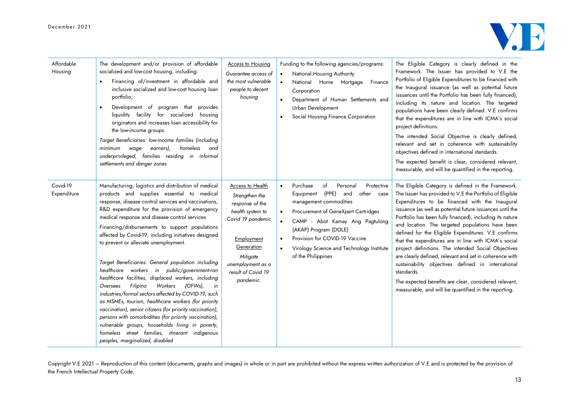

| Affordable<br>Housing   | The development and/or provision of affordable<br>socialized and low-cost housing, including:<br>Financing of/investment in affordable and<br>inclusive socialized and low-cost housing loan<br>portfolio;<br>Development of program that<br>provides<br>$\bullet$<br>liquidity facility for socialized housing<br>originators and increases loan accessibility for<br>the low-income groups<br>Target Beneficiaries: low-income families (including<br>earners),<br>homeless<br>minimum wage<br>and<br>underprivileged, families residing in informal<br>settlements and danger zones                                                                                                                                                                                                                                                                                                                                                                                                                          | <b>Access to Housing</b><br>Guarantee access of<br>the most vulnerable<br>people to decent<br>housing                                                                                          | Funding to the following agencies/programs:<br>National Housing Authority<br>National Home Mortgage<br>Finance<br>Corporation<br>Department of Human Settlements and<br>Urban Development<br>Social Housing Finance Corporation                                                                                                       | The Eligible Category is clearly defined in the<br>Framework. The Issuer has provided to V.E the<br>Portfolio of Eligible Expenditures to be financed with<br>the Inaugural issuance (as well as potential future<br>issuances until the Portfolio has been fully financed),<br>including its nature and location. The targeted<br>populations have been clearly defined. V.E confirms<br>that the expenditures are in line with ICMA's social<br>project definitions.<br>The intended Social Objective is clearly defined,<br>relevant and set in coherence with sustainability<br>objectives defined in international standards.<br>The expected benefit is clear, considered relevant,<br>measurable, and will be quantified in the reporting.                   |
|-------------------------|-----------------------------------------------------------------------------------------------------------------------------------------------------------------------------------------------------------------------------------------------------------------------------------------------------------------------------------------------------------------------------------------------------------------------------------------------------------------------------------------------------------------------------------------------------------------------------------------------------------------------------------------------------------------------------------------------------------------------------------------------------------------------------------------------------------------------------------------------------------------------------------------------------------------------------------------------------------------------------------------------------------------|------------------------------------------------------------------------------------------------------------------------------------------------------------------------------------------------|---------------------------------------------------------------------------------------------------------------------------------------------------------------------------------------------------------------------------------------------------------------------------------------------------------------------------------------|---------------------------------------------------------------------------------------------------------------------------------------------------------------------------------------------------------------------------------------------------------------------------------------------------------------------------------------------------------------------------------------------------------------------------------------------------------------------------------------------------------------------------------------------------------------------------------------------------------------------------------------------------------------------------------------------------------------------------------------------------------------------|
| Covid-19<br>Expenditure | Manufacturing, logistics and distribution of medical<br>products and supplies essential to medical<br>response, disease control services and vaccinations,<br>R&D expenditure for the provision of emergency<br>medical response and disease control services<br>Financing/disbursements to support populations<br>affected by Covid-19, including initiatives designed<br>to prevent or alleviate unemployment.<br>Target Beneficiaries: General population including<br>healthcare workers in public/government-ran<br>healthcare facilities, displaced workers, including<br>Filipino<br>Workers<br>(OFWs),<br>Oversees<br>in<br>industries/formal sectors affected by COVID-19, such<br>as MSMEs, tourism, healthcare workers (for priority<br>vaccination), senior citizens (for priority vaccination),<br>persons with comorbidities (for priority vaccination),<br>vulnerable groups, households living in poverty,<br>homeless street families, itinerant indigenous<br>peoples, marginalized, disabled | Access to Health<br>Strengthen the<br>response of the<br>health system to<br>Covid 19 pandemic<br>Employment<br>Generation<br>Mitigate<br>unemployment as a<br>result of Covid 19<br>pandemic. | Purchase<br>of<br>Personal<br>Protective<br>(PPE)<br>other<br>Equipment<br>and<br>case<br>management commodities<br>Procurement of GeneXpert Cartridges<br>CAMP - Abot Kamay Ang Pagtulong<br>(AKAP) Program (DOLE)<br>Provision for COVID-19 Vaccine<br>$\bullet$<br>Virology Science and Technology Institute<br>of the Philippines | The Eligible Category is defined in the Framework.<br>The Issuer has provided to V.E the Portfolio of Eligible<br>Expenditures to be financed with the Inaugural<br>issuance (as well as potential future issuances until the<br>Portfolio has been fully financed), including its nature<br>and location. The targeted populations have been<br>defined for the Eligible Expenditures. V.E confirms<br>that the expenditures are in line with ICMA's social<br>project definitions. The intended Social Objectives<br>are clearly defined, relevant and set in coherence with<br>sustainability objectives defined in international<br>standards.<br>The expected benefits are clear, considered relevant,<br>measurable, and will be quantified in the reporting. |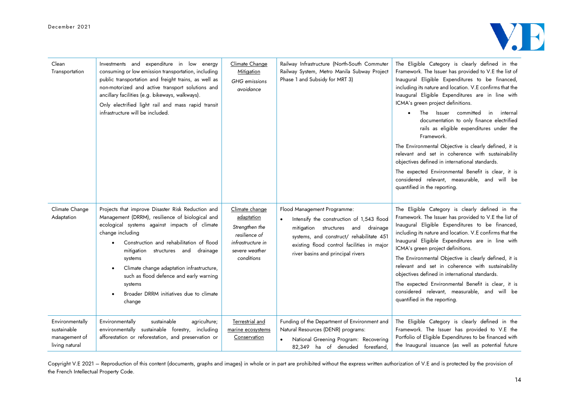

| Clean<br>Transportation                                           | Investments and expenditure in low energy<br>consuming or low emission transportation, including<br>public transportation and freight trains, as well as<br>non-motorized and active transport solutions and<br>ancillary facilities (e.g. bikeways, walkways).<br>Only electrified light rail and mass rapid transit<br>infrastructure will be included.                                                                                      | Climate Change<br>Mitigation<br><b>GHG</b> emissions<br>avoidance                                                    | Railway Infrastructure (North-South Commuter<br>Railway System, Metro Manila Subway Project<br>Phase 1 and Subsidy for MRT 3)                                                                                                                              | The Eligible Category is clearly defined in the<br>Framework. The Issuer has provided to V.E the list of<br>Inaugural Eligible Expenditures to be financed,<br>including its nature and location. V.E confirms that the<br>Inaugural Eligible Expenditures are in line with<br>ICMA's green project definitions.<br>Issuer committed<br>The<br>in internal<br>documentation to only finance electrified<br>rails as eligible expenditures under the<br>Framework.<br>The Environmental Objective is clearly defined, it is<br>relevant and set in coherence with sustainability<br>objectives defined in international standards.<br>The expected Environmental Benefit is clear, it is<br>considered relevant, measurable, and will be<br>quantified in the reporting. |
|-------------------------------------------------------------------|------------------------------------------------------------------------------------------------------------------------------------------------------------------------------------------------------------------------------------------------------------------------------------------------------------------------------------------------------------------------------------------------------------------------------------------------|----------------------------------------------------------------------------------------------------------------------|------------------------------------------------------------------------------------------------------------------------------------------------------------------------------------------------------------------------------------------------------------|-------------------------------------------------------------------------------------------------------------------------------------------------------------------------------------------------------------------------------------------------------------------------------------------------------------------------------------------------------------------------------------------------------------------------------------------------------------------------------------------------------------------------------------------------------------------------------------------------------------------------------------------------------------------------------------------------------------------------------------------------------------------------|
| Climate Change<br>Adaptation                                      | Projects that improve Disaster Risk Reduction and<br>Management (DRRM), resilience of biological and<br>ecological systems against impacts of climate<br>change including<br>Construction and rehabilitation of flood<br>$\bullet$<br>structures and drainage<br>mitigation<br>systems<br>Climate change adaptation infrastructure,<br>such as flood defence and early warning<br>systems<br>Broader DRRM initiatives due to climate<br>change | Climate change<br>adaptation<br>Strengthen the<br>resilience of<br>infrastructure in<br>severe weather<br>conditions | Flood Management Programme:<br>Intensify the construction of 1,543 flood<br>$\bullet$<br>mitigation structures and drainage<br>systems, and construct/ rehabilitate 451<br>existing flood control facilities in major<br>river basins and principal rivers | The Eligible Category is clearly defined in the<br>Framework. The Issuer has provided to V.E the list of<br>Inaugural Eligible Expenditures to be financed,<br>including its nature and location. V.E confirms that the<br>Inaugural Eligible Expenditures are in line with<br>ICMA's green project definitions.<br>The Environmental Objective is clearly defined, it is<br>relevant and set in coherence with sustainability<br>objectives defined in international standards.<br>The expected Environmental Benefit is clear, it is<br>considered relevant, measurable, and will be<br>quantified in the reporting.                                                                                                                                                  |
| Environmentally<br>sustainable<br>management of<br>living natural | Environmentally<br>sustainable<br>agriculture;<br>environmentally sustainable forestry, including<br>afforestation or reforestation, and preservation or                                                                                                                                                                                                                                                                                       | Terrestrial and<br>marine ecosystems<br>Conservation                                                                 | Funding of the Department of Environment and<br>Natural Resources (DENR) programs:<br>National Greening Program: Recovering<br>82,349 ha of denuded forestland,                                                                                            | The Eligible Category is clearly defined in the<br>Framework. The Issuer has provided to V.E the<br>Portfolio of Eligible Expenditures to be financed with<br>the Inaugural issuance (as well as potential future                                                                                                                                                                                                                                                                                                                                                                                                                                                                                                                                                       |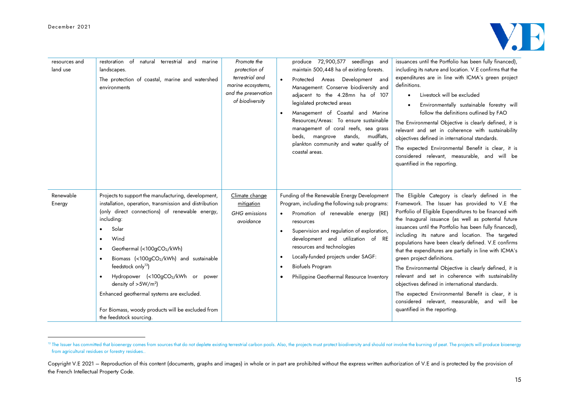

| resources and<br>land use | restoration of natural terrestrial and<br>marine<br>landscapes.<br>The protection of coastal, marine and watershed<br>environments                                                                                                                                                                                                                                                                                                                                                                               | Promote the<br>protection of<br>terrestrial and<br>marine ecosystems,<br>and the preservation<br>of biodiversity | produce 72,900,577 seedlings and<br>maintain 500,448 ha of existing forests.<br>Protected Areas<br>Development<br>and<br>Management: Conserve biodiversity and<br>adjacent to the 4.28mn ha of 107<br>legislated protected areas<br>Management of Coastal and Marine<br>$\bullet$<br>Resources/Areas: To ensure sustainable<br>management of coral reefs, sea grass<br>beds, mangrove stands,<br>mudflats,<br>plankton community and water qualify of<br>coastal areas. | issuances until the Portfolio has been fully financed),<br>including its nature and location. V.E confirms that the<br>expenditures are in line with ICMA's green project<br>definitions.<br>Livestock will be excluded<br>Environmentally sustainable forestry will<br>follow the definitions outlined by FAO<br>The Environmental Objective is clearly defined, it is<br>relevant and set in coherence with sustainability<br>objectives defined in international standards.<br>The expected Environmental Benefit is clear, it is<br>considered relevant, measurable, and will be<br>quantified in the reporting.                                                                                                                                                                  |
|---------------------------|------------------------------------------------------------------------------------------------------------------------------------------------------------------------------------------------------------------------------------------------------------------------------------------------------------------------------------------------------------------------------------------------------------------------------------------------------------------------------------------------------------------|------------------------------------------------------------------------------------------------------------------|-------------------------------------------------------------------------------------------------------------------------------------------------------------------------------------------------------------------------------------------------------------------------------------------------------------------------------------------------------------------------------------------------------------------------------------------------------------------------|---------------------------------------------------------------------------------------------------------------------------------------------------------------------------------------------------------------------------------------------------------------------------------------------------------------------------------------------------------------------------------------------------------------------------------------------------------------------------------------------------------------------------------------------------------------------------------------------------------------------------------------------------------------------------------------------------------------------------------------------------------------------------------------|
| Renewable<br>Energy       | Projects to support the manufacturing, development,<br>installation, operation, transmission and distribution<br>(only direct connections) of renewable energy,<br>including:<br>Solar<br>Wind<br>$\bullet$<br>Geothermal (<100gCO2/kWh)<br>Biomass (<100gCO2/kWh) and sustainable<br>feedstock only <sup>13</sup> )<br>Hydropower (<100gCO2/kWh or power<br>density of $>5W/m^2$ )<br>Enhanced geothermal systems are excluded.<br>For Biomass, woody products will be excluded from<br>the feedstock sourcing. | Climate change<br>mitigation<br>GHG emissions<br>avoidance                                                       | Funding of the Renewable Energy Development<br>Program, including the following sub programs:<br>Promotion of renewable energy (RE)<br>resources<br>Supervision and regulation of exploration,<br>$\bullet$<br>development and utilization of<br><b>RE</b><br>resources and technologies<br>Locally-funded projects under SAGF:<br>$\bullet$<br><b>Biofuels Program</b><br>Philippine Geothermal Resource Inventory                                                     | The Eligible Category is clearly defined in the<br>Framework. The Issuer has provided to V.E the<br>Portfolio of Eligible Expenditures to be financed with<br>the Inaugural issuance (as well as potential future<br>issuances until the Portfolio has been fully financed),<br>including its nature and location. The targeted<br>populations have been clearly defined. V.E confirms<br>that the expenditures are partially in line with ICMA's<br>green project definitions.<br>The Environmental Objective is clearly defined, it is<br>relevant and set in coherence with sustainability<br>objectives defined in international standards.<br>The expected Environmental Benefit is clear, it is<br>considered relevant, measurable, and will be<br>quantified in the reporting. |

<sup>13</sup> The Issuer has committed that bioenergy comes from sources that do not deplete existing terrestrial carbon pools. Also, the projects must protect biodiversity and should not involve the burning of peat. The projects wil from agricultural residues or forestry residues..

Copyright V.E 2021 – Reproduction of this content (documents, graphs and images) in whole or in part are prohibited without the express written authorization of V.E and is protected by the provision of the French Intellectual Property Code.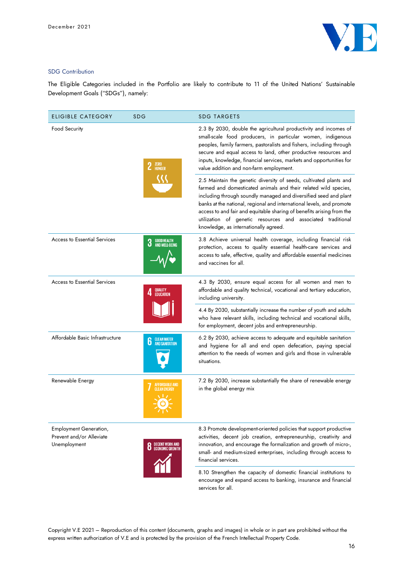

## SDG Contribution

The Eligible Categories included in the Portfolio are likely to contribute to 11 of the United Nations' Sustainable Development Goals ("SDGs"), namely:

| <b>ELIGIBLE CATEGORY</b>                                           | <b>SDG</b>                                                                                                                                                                                                                                                                                                                                                                                    | <b>SDG TARGETS</b>                                                                                                                                                                                                                                                                                                                                                                                                                                                  |
|--------------------------------------------------------------------|-----------------------------------------------------------------------------------------------------------------------------------------------------------------------------------------------------------------------------------------------------------------------------------------------------------------------------------------------------------------------------------------------|---------------------------------------------------------------------------------------------------------------------------------------------------------------------------------------------------------------------------------------------------------------------------------------------------------------------------------------------------------------------------------------------------------------------------------------------------------------------|
| <b>Food Security</b><br><b>ZERO</b><br>HUNGER                      | 2.3 By 2030, double the agricultural productivity and incomes of<br>small-scale food producers, in particular women, indigenous<br>peoples, family farmers, pastoralists and fishers, including through<br>secure and equal access to land, other productive resources and<br>inputs, knowledge, financial services, markets and opportunities for<br>value addition and non-farm employment. |                                                                                                                                                                                                                                                                                                                                                                                                                                                                     |
|                                                                    |                                                                                                                                                                                                                                                                                                                                                                                               | 2.5 Maintain the genetic diversity of seeds, cultivated plants and<br>farmed and domesticated animals and their related wild species,<br>including through soundly managed and diversified seed and plant<br>banks at the national, regional and international levels, and promote<br>access to and fair and equitable sharing of benefits arising from the<br>utilization of genetic resources and associated traditional<br>knowledge, as internationally agreed. |
| <b>Access to Essential Services</b>                                | <b>GOOD HEALTH</b>                                                                                                                                                                                                                                                                                                                                                                            | 3.8 Achieve universal health coverage, including financial risk<br>protection, access to quality essential health-care services and<br>access to safe, effective, quality and affordable essential medicines<br>and vaccines for all.                                                                                                                                                                                                                               |
| Access to Essential Services<br>QUALITY                            | <b>EDUCATION</b>                                                                                                                                                                                                                                                                                                                                                                              | 4.3 By 2030, ensure equal access for all women and men to<br>affordable and quality technical, vocational and tertiary education,<br>including university.                                                                                                                                                                                                                                                                                                          |
|                                                                    |                                                                                                                                                                                                                                                                                                                                                                                               | 4.4 By 2030, substantially increase the number of youth and adults<br>who have relevant skills, including technical and vocational skills,<br>for employment, decent jobs and entrepreneurship.                                                                                                                                                                                                                                                                     |
| Affordable Basic Infrastructure                                    | <b>CLEAN WATER<br/>AND SANITATION</b><br>6                                                                                                                                                                                                                                                                                                                                                    | 6.2 By 2030, achieve access to adequate and equitable sanitation<br>and hygiene for all and end open defecation, paying special<br>attention to the needs of women and girls and those in vulnerable<br>situations.                                                                                                                                                                                                                                                 |
| Renewable Energy                                                   | FFORDABLE AND،                                                                                                                                                                                                                                                                                                                                                                                | 7.2 By 2030, increase substantially the share of renewable energy<br>in the global energy mix                                                                                                                                                                                                                                                                                                                                                                       |
| Employment Generation,<br>Prevent and/or Alleviate<br>Unemployment | DECENT WORK AND<br>Economic Growth                                                                                                                                                                                                                                                                                                                                                            | 8.3 Promote development-oriented policies that support productive<br>activities, decent job creation, entrepreneurship, creativity and<br>innovation, and encourage the formalization and growth of micro-,<br>small- and medium-sized enterprises, including through access to<br>financial services.                                                                                                                                                              |
|                                                                    |                                                                                                                                                                                                                                                                                                                                                                                               | 8.10 Strengthen the capacity of domestic financial institutions to<br>encourage and expand access to banking, insurance and financial                                                                                                                                                                                                                                                                                                                               |

Copyright V.E 2021 – Reproduction of this content (documents, graphs and images) in whole or in part are prohibited without the express written authorization of V.E and is protected by the provision of the French Intellectual Property Code.

services for all.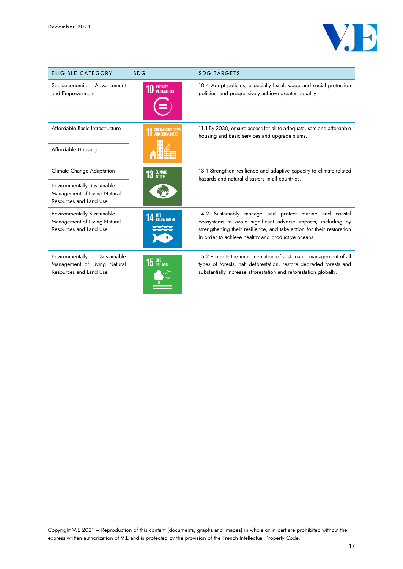

| <b>ELIGIBLE CATEGORY</b>                                                                     | <b>SDG</b>                             | <b>SDG TARGETS</b>                                                                                                                                                                                                                                     |
|----------------------------------------------------------------------------------------------|----------------------------------------|--------------------------------------------------------------------------------------------------------------------------------------------------------------------------------------------------------------------------------------------------------|
| Advancement<br>Socioeconomic<br>and Empowerment                                              | <b>REDUCED</b><br><b>INFOILALITIES</b> | 10.4 Adopt policies, especially fiscal, wage and social protection<br>policies, and progressively achieve greater equality.                                                                                                                            |
| Affordable Basic Infrastructure                                                              | SUSTAINABLE CITIES<br>AND COMMUNITIES  | 11.1 By 2030, ensure access for all to adequate, safe and affordable<br>housing and basic services and upgrade slums.                                                                                                                                  |
| Affordable Housing                                                                           |                                        |                                                                                                                                                                                                                                                        |
| Climate Change Adaptation                                                                    | <b>13 GLIMATE</b>                      | 13.1 Strengthen resilience and adaptive capacity to climate-related<br>hazards and natural disasters in all countries.                                                                                                                                 |
| <b>Environmentally Sustainable</b><br>Management of Living Natural<br>Resources and Land Use |                                        |                                                                                                                                                                                                                                                        |
| <b>Environmentally Sustainable</b><br>Management of Living Natural<br>Resources and Land Use | LIFE<br>Below Water                    | 14.2 Sustainably manage and protect marine and coastal<br>ecosystems to avoid significant adverse impacts, including by<br>strengthening their resilience, and take action for their restoration<br>in order to achieve healthy and productive oceans. |
| Environmentally<br>Sustainable<br>Management of Living Natural<br>Resources and Land Use     | $15$ an land                           | 15.2 Promote the implementation of sustainable management of all<br>types of forests, halt deforestation, restore degraded forests and<br>substantially increase afforestation and reforestation globally.                                             |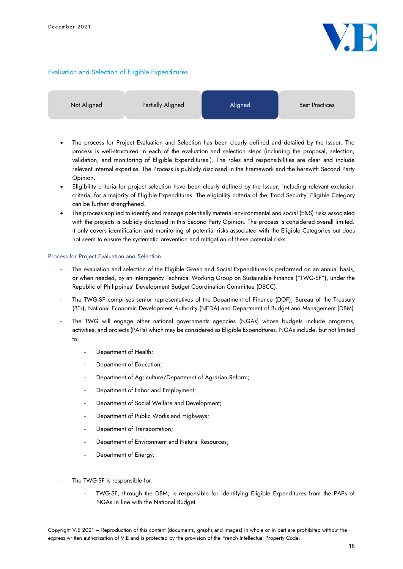

### Evaluation and Selection of Eligible Expenditures

| Not Aligned | Partially Aligned | Aligned | <b>Best Practices</b> |
|-------------|-------------------|---------|-----------------------|
|             |                   |         |                       |

- The process for Project Evaluation and Selection has been clearly defined and detailed by the Issuer. The process is well-structured in each of the evaluation and selection steps (including the proposal, selection, validation, and monitoring of Eligible Expenditures.). The roles and responsibilities are clear and include relevant internal expertise. The Process is publicly disclosed in the Framework and the herewith Second Party Opinion.
- Eligibility criteria for project selection have been clearly defined by the Issuer, including relevant exclusion criteria, for a majority of Eligible Expenditures. The eligibility criteria of the 'Food Security' Eligible Category can be further strengthened.
- The process applied to identify and manage potentially material environmental and social (E&S) risks associated with the projects is publicly disclosed in this Second Party Opinion. The process is considered overall limited. It only covers identification and monitoring of potential risks associated with the Eligible Categories but does not seem to ensure the systematic prevention and mitigation of these potential risks.

#### Process for Project Evaluation and Selection

- The evaluation and selection of the Eligible Green and Social Expenditures is performed on an annual basis, or when needed, by an Interagency Technical Working Group on Sustainable Finance ("TWG-SF"), under the Republic of Philippines' Development Budget Coordination Committee (DBCC).
- The TWG-SF comprises senior representatives of the Department of Finance (DOF), Bureau of the Treasury (BTr), National Economic Development Authority (NEDA) and Department of Budget and Management (DBM)
- The TWG will engage other national governments agencies (NGAs) whose budgets include programs, activities, and projects (PAPs) which may be considered as Eligible Expenditures. NGAs include, but not limited to:
	- Department of Health;
	- Department of Education;
	- Department of Agriculture/Department of Agrarian Reform;
	- Department of Labor and Employment;
	- Department of Social Welfare and Development;
	- Department of Public Works and Highways;
	- Department of Transportation;
	- Department of Environment and Natural Resources;
	- Department of Energy.
- The TWG-SF is responsible for:
	- TWG-SF, through the DBM, is responsible for identifying Eligible Expenditures from the PAPs of NGAs in line with the National Budget.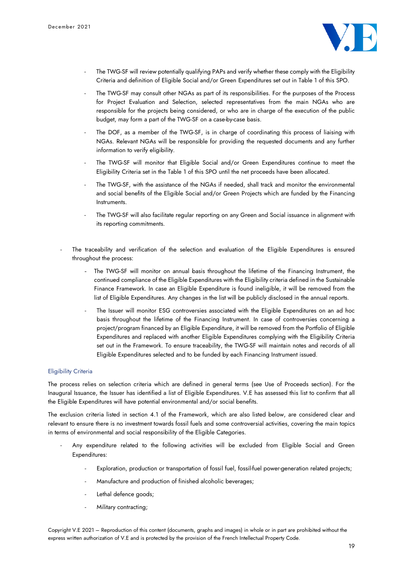

- The TWG-SF will review potentially qualifying PAPs and verify whether these comply with the Eligibility Criteria and definition of Eligible Social and/or Green Expenditures set out in Table 1 of this SPO.
- The TWG-SF may consult other NGAs as part of its responsibilities. For the purposes of the Process for Project Evaluation and Selection, selected representatives from the main NGAs who are responsible for the projects being considered, or who are in charge of the execution of the public budget, may form a part of the TWG-SF on a case-by-case basis.
- The DOF, as a member of the TWG-SF, is in charge of coordinating this process of liaising with NGAs. Relevant NGAs will be responsible for providing the requested documents and any further information to verify eligibility.
- The TWG-SF will monitor that Eligible Social and/or Green Expenditures continue to meet the Eligibility Criteria set in the Table 1 of this SPO until the net proceeds have been allocated.
- The TWG-SF, with the assistance of the NGAs if needed, shall track and monitor the environmental and social benefits of the Eligible Social and/or Green Projects which are funded by the Financing Instruments.
- The TWG-SF will also facilitate regular reporting on any Green and Social issuance in alignment with its reporting commitments.
- The traceability and verification of the selection and evaluation of the Eligible Expenditures is ensured throughout the process:
	- The TWG-SF will monitor on annual basis throughout the lifetime of the Financing Instrument, the continued compliance of the Eligible Expenditures with the Eligibility criteria defined in the Sustainable Finance Framework. In case an Eligible Expenditure is found ineligible, it will be removed from the list of Eligible Expenditures. Any changes in the list will be publicly disclosed in the annual reports.
	- The Issuer will monitor ESG controversies associated with the Eligible Expenditures on an ad hoc basis throughout the lifetime of the Financing Instrument. In case of controversies concerning a project/program financed by an Eligible Expenditure, it will be removed from the Portfolio of Eligible Expenditures and replaced with another Eligible Expenditures complying with the Eligibility Criteria set out in the Framework. To ensure traceability, the TWG-SF will maintain notes and records of all Eligible Expenditures selected and to be funded by each Financing Instrument issued.

### Eligibility Criteria

The process relies on selection criteria which are defined in general terms (see Use of Proceeds section). For the Inaugural Issuance, the Issuer has identified a list of Eligible Expenditures. V.E has assessed this list to confirm that all the Eligible Expenditures will have potential environmental and/or social benefits.

The exclusion criteria listed in section 4.1 of the Framework, which are also listed below, are considered clear and relevant to ensure there is no investment towards fossil fuels and some controversial activities, covering the main topics in terms of environmental and social responsibility of the Eligible Categories.

- Any expenditure related to the following activities will be excluded from Eligible Social and Green Expenditures:
	- Exploration, production or transportation of fossil fuel, fossil-fuel power-generation related projects;
	- Manufacture and production of finished alcoholic beverages;
	- Lethal defence goods;
	- Military contracting;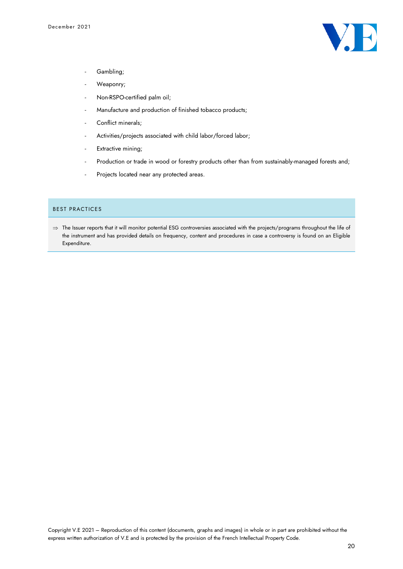

- Gambling;
- Weaponry;
- Non-RSPO-certified palm oil;
- Manufacture and production of finished tobacco products;
- Conflict minerals;
- Activities/projects associated with child labor/forced labor;
- Extractive mining;
- Production or trade in wood or forestry products other than from sustainably-managed forests and;
- Projects located near any protected areas.

#### BEST PRACTICES

 $\Rightarrow$  The Issuer reports that it will monitor potential ESG controversies associated with the projects/programs throughout the life of the instrument and has provided details on frequency, content and procedures in case a controversy is found on an Eligible Expenditure.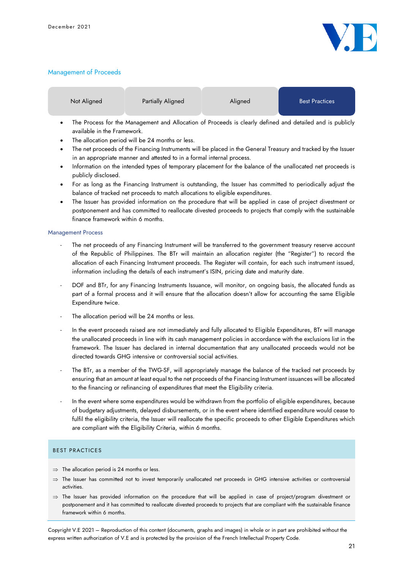

## Management of Proceeds

| Not Aligned | Partially Aligned | Aligned | <b>Best Practices</b> |
|-------------|-------------------|---------|-----------------------|
|             |                   |         |                       |

- The Process for the Management and Allocation of Proceeds is clearly defined and detailed and is publicly available in the Framework.
- The allocation period will be 24 months or less.
- The net proceeds of the Financing Instruments will be placed in the General Treasury and tracked by the Issuer in an appropriate manner and attested to in a formal internal process.
- Information on the intended types of temporary placement for the balance of the unallocated net proceeds is publicly disclosed.
- For as long as the Financing Instrument is outstanding, the Issuer has committed to periodically adjust the balance of tracked net proceeds to match allocations to eligible expenditures.
- The Issuer has provided information on the procedure that will be applied in case of project divestment or postponement and has committed to reallocate divested proceeds to projects that comply with the sustainable finance framework within 6 months.

### Management Process

- The net proceeds of any Financing Instrument will be transferred to the government treasury reserve account of the Republic of Philippines. The BTr will maintain an allocation register (the "Register") to record the allocation of each Financing Instrument proceeds. The Register will contain, for each such instrument issued, information including the details of each instrument's ISIN, pricing date and maturity date.
- DOF and BTr, for any Financing Instruments Issuance, will monitor, on ongoing basis, the allocated funds as part of a formal process and it will ensure that the allocation doesn't allow for accounting the same Eligible Expenditure twice.
- The allocation period will be 24 months or less.
- In the event proceeds raised are not immediately and fully allocated to Eligible Expenditures, BTr will manage the unallocated proceeds in line with its cash management policies in accordance with the exclusions list in the framework. The Issuer has declared in internal documentation that any unallocated proceeds would not be directed towards GHG intensive or controversial social activities.
- The BTr, as a member of the TWG-SF, will appropriately manage the balance of the tracked net proceeds by ensuring that an amount at least equal to the net proceeds of the Financing Instrument issuances will be allocated to the financing or refinancing of expenditures that meet the Eligibility criteria.
- In the event where some expenditures would be withdrawn from the portfolio of eligible expenditures, because of budgetary adjustments, delayed disbursements, or in the event where identified expenditure would cease to fulfil the eligibility criteria, the Issuer will reallocate the specific proceeds to other Eligible Expenditures which are compliant with the Eligibility Criteria, within 6 months.

## BEST PRACTICES

- $\Rightarrow$  The allocation period is 24 months or less.
- $\Rightarrow$  The Issuer has committed not to invest temporarily unallocated net proceeds in GHG intensive activities or controversial activities.
- $\Rightarrow$  The Issuer has provided information on the procedure that will be applied in case of project/program divestment or postponement and it has committed to reallocate divested proceeds to projects that are compliant with the sustainable finance framework within 6 months.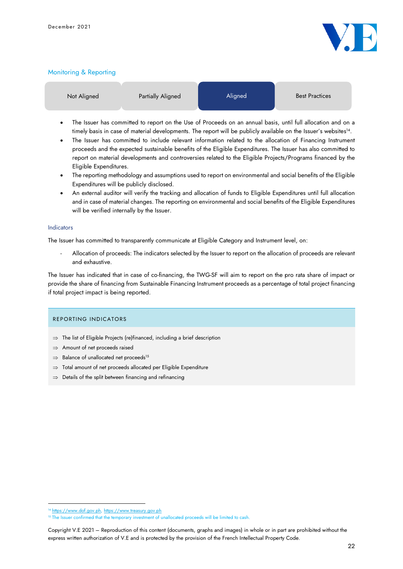

### Monitoring & Reporting

| Not Aligned | Partially Aligned | Aligned | <b>Best Practices</b> |
|-------------|-------------------|---------|-----------------------|
|             |                   |         |                       |

- The Issuer has committed to report on the Use of Proceeds on an annual basis, until full allocation and on a timely basis in case of material developments. The report will be publicly available on the Issuer's websites 14 .
- The Issuer has committed to include relevant information related to the allocation of Financing Instrument proceeds and the expected sustainable benefits of the Eligible Expenditures. The Issuer has also committed to report on material developments and controversies related to the Eligible Projects/Programs financed by the Eligible Expenditures.
- The reporting methodology and assumptions used to report on environmental and social benefits of the Eligible Expenditures will be publicly disclosed.
- An external auditor will verify the tracking and allocation of funds to Eligible Expenditures until full allocation and in case of material changes. The reporting on environmental and social benefits of the Eligible Expenditures will be verified internally by the Issuer.

#### Indicators

The Issuer has committed to transparently communicate at Eligible Category and Instrument level, on:

- Allocation of proceeds: The indicators selected by the Issuer to report on the allocation of proceeds are relevant and exhaustive.

The Issuer has indicated that in case of co-financing, the TWG-SF will aim to report on the pro rata share of impact or provide the share of financing from Sustainable Financing Instrument proceeds as a percentage of total project financing if total project impact is being reported.

#### REPORTING INDICATORS

- $\Rightarrow$  The list of Eligible Projects (re)financed, including a brief description
- $\Rightarrow$  Amount of net proceeds raised
- $\Rightarrow$  Balance of unallocated net proceeds<sup>15</sup>
- $\Rightarrow$  Total amount of net proceeds allocated per Eligible Expenditure
- $\Rightarrow$  Details of the split between financing and refinancing

<sup>14</sup> [https://www.dof.gov.ph,](https://www.dof.gov.ph/) [https://www.treasury.gov.ph](https://www.treasury.gov.ph/)

<sup>&</sup>lt;sup>15</sup> The Issuer confirmed that the temporary investment of unallocated proceeds will be limited to cash.

Copyright V.E 2021 – Reproduction of this content (documents, graphs and images) in whole or in part are prohibited without the express written authorization of V.E and is protected by the provision of the French Intellectual Property Code.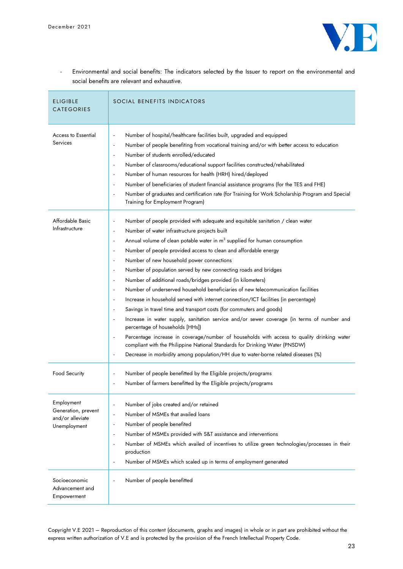

- Environmental and social benefits: The indicators selected by the Issuer to report on the environmental and social benefits are relevant and exhaustive.

| <b>ELIGIBLE</b><br><b>CATEGORIES</b>                                  | SOCIAL BENEFITS INDICATORS                                                                                                                                                                                                                                                                                                                                                                                                                                                                                                                                                                                                                                                                                                                                                                                                                                                                                                                                                                                                                                                                                                                                                                                                                                                                                                                                                                                                                                                       |
|-----------------------------------------------------------------------|----------------------------------------------------------------------------------------------------------------------------------------------------------------------------------------------------------------------------------------------------------------------------------------------------------------------------------------------------------------------------------------------------------------------------------------------------------------------------------------------------------------------------------------------------------------------------------------------------------------------------------------------------------------------------------------------------------------------------------------------------------------------------------------------------------------------------------------------------------------------------------------------------------------------------------------------------------------------------------------------------------------------------------------------------------------------------------------------------------------------------------------------------------------------------------------------------------------------------------------------------------------------------------------------------------------------------------------------------------------------------------------------------------------------------------------------------------------------------------|
| <b>Access to Essential</b><br>Services                                | Number of hospital/healthcare facilities built, upgraded and equipped<br>$\blacksquare$<br>Number of people benefiting from vocational training and/or with better access to education<br>$\overline{\phantom{a}}$<br>Number of students enrolled/educated<br>$\blacksquare$<br>Number of classrooms/educational support facilities constructed/rehabilitated<br>$\blacksquare$<br>Number of human resources for health (HRH) hired/deployed<br>$\overline{\phantom{a}}$<br>Number of beneficiaries of student financial assistance programs (for the TES and FHE)<br>$\overline{\phantom{a}}$<br>Number of graduates and certification rate (for Training for Work Scholarship Program and Special<br>$\blacksquare$<br>Training for Employment Program)                                                                                                                                                                                                                                                                                                                                                                                                                                                                                                                                                                                                                                                                                                                        |
| Affordable Basic<br>Infrastructure                                    | Number of people provided with adequate and equitable sanitation / clean water<br>$\overline{\phantom{a}}$<br>Number of water infrastructure projects built<br>$\overline{\phantom{a}}$<br>Annual volume of clean potable water in m <sup>3</sup> supplied for human consumption<br>$\overline{\phantom{a}}$<br>Number of people provided access to clean and affordable energy<br>$\overline{\phantom{a}}$<br>Number of new household power connections<br>$\blacksquare$<br>Number of population served by new connecting roads and bridges<br>$\overline{\phantom{a}}$<br>Number of additional roads/bridges provided (in kilometers)<br>$\overline{\phantom{a}}$<br>Number of underserved household beneficiaries of new telecommunication facilities<br>$\overline{\phantom{a}}$<br>Increase in household served with internet connection/ICT facilities (in percentage)<br>$\blacksquare$<br>Savings in travel time and transport costs (for commuters and goods)<br>$\overline{\phantom{a}}$<br>Increase in water supply, sanitation service and/or sewer coverage (in terms of number and<br>$\blacksquare$<br>percentage of households [HHs])<br>Percentage increase in coverage/number of households with access to quality drinking water<br>$\overline{\phantom{a}}$<br>compliant with the Philippine National Standards for Drinking Water (PNSDW)<br>Decrease in morbidity among population/HH due to water-borne related diseases (%)<br>$\overline{\phantom{a}}$ |
| Food Security                                                         | Number of people benefitted by the Eligible projects/programs<br>$\overline{\phantom{a}}$<br>Number of farmers benefitted by the Eligible projects/programs<br>$\overline{\phantom{a}}$                                                                                                                                                                                                                                                                                                                                                                                                                                                                                                                                                                                                                                                                                                                                                                                                                                                                                                                                                                                                                                                                                                                                                                                                                                                                                          |
| Employment<br>Generation, prevent<br>and/or alleviate<br>Unemployment | Number of jobs created and/or retained<br>$\overline{\phantom{a}}$<br>Number of MSMEs that availed loans<br>$\overline{\phantom{a}}$<br>Number of people benefited<br>$\overline{\phantom{a}}$<br>Number of MSMEs provided with S&T assistance and interventions<br>$\overline{\phantom{a}}$<br>Number of MSMEs which availed of incentives to utilize green technologies/processes in their<br>$\overline{\phantom{a}}$<br>production<br>Number of MSMEs which scaled up in terms of employment generated<br>$\overline{\phantom{a}}$                                                                                                                                                                                                                                                                                                                                                                                                                                                                                                                                                                                                                                                                                                                                                                                                                                                                                                                                           |
| Socioeconomic<br>Advancement and<br>Empowerment                       | Number of people benefitted<br>$\overline{\phantom{m}}$                                                                                                                                                                                                                                                                                                                                                                                                                                                                                                                                                                                                                                                                                                                                                                                                                                                                                                                                                                                                                                                                                                                                                                                                                                                                                                                                                                                                                          |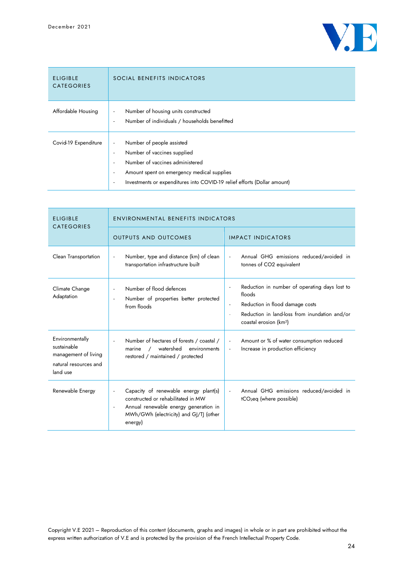

| <b>ELIGIBLE</b><br><b>CATEGORIES</b> | SOCIAL BENEFITS INDICATORS                                                                                                                                                                                                                                                                                                                                        |
|--------------------------------------|-------------------------------------------------------------------------------------------------------------------------------------------------------------------------------------------------------------------------------------------------------------------------------------------------------------------------------------------------------------------|
| Affordable Housing                   | Number of housing units constructed<br>$\overline{\phantom{a}}$<br>Number of individuals / households benefitted<br>$\overline{\phantom{a}}$                                                                                                                                                                                                                      |
| Covid-19 Expenditure                 | Number of people assisted<br>$\overline{\phantom{a}}$<br>Number of vaccines supplied<br>$\overline{\phantom{a}}$<br>Number of vaccines administered<br>$\overline{\phantom{a}}$<br>Amount spent on emergency medical supplies<br>$\overline{\phantom{a}}$<br>Investments or expenditures into COVID-19 relief efforts (Dollar amount)<br>$\overline{\phantom{a}}$ |

| <b>ELIGIBLE</b><br><b>CATEGORIES</b>                                                        | <b>ENVIRONMENTAL BENEFITS INDICATORS</b>                                                                                                                                                                                          |                                                                                                                                                                                         |  |  |
|---------------------------------------------------------------------------------------------|-----------------------------------------------------------------------------------------------------------------------------------------------------------------------------------------------------------------------------------|-----------------------------------------------------------------------------------------------------------------------------------------------------------------------------------------|--|--|
|                                                                                             | <b>OUTPUTS AND OUTCOMES</b>                                                                                                                                                                                                       | <b>IMPACT INDICATORS</b>                                                                                                                                                                |  |  |
| Clean Transportation                                                                        | Number, type and distance (km) of clean<br>$\blacksquare$<br>transportation infrastructure built                                                                                                                                  | Annual GHG emissions reduced/avoided in<br>tonnes of CO2 equivalent                                                                                                                     |  |  |
| Climate Change<br>Adaptation                                                                | Number of flood defences<br>$\overline{\phantom{a}}$<br>Number of properties better protected<br>$\overline{\phantom{a}}$<br>from floods                                                                                          | Reduction in number of operating days lost to<br>floods<br>Reduction in flood damage costs<br>÷,<br>Reduction in land-loss from inundation and/or<br>coastal erosion (km <sup>2</sup> ) |  |  |
| Environmentally<br>sustainable<br>management of living<br>natural resources and<br>land use | Number of hectares of forests / coastal /<br>watershed<br>environments<br>marine<br>$\sqrt{2}$<br>restored / maintained / protected                                                                                               | Amount or % of water consumption reduced<br>$\overline{\phantom{a}}$<br>Increase in production efficiency<br>$\overline{\phantom{a}}$                                                   |  |  |
| Renewable Energy                                                                            | Capacity of renewable energy plant(s)<br>$\overline{\phantom{a}}$<br>constructed or rehabilitated in MW<br>Annual renewable energy generation in<br>$\overline{\phantom{a}}$<br>MWh/GWh (electricity) and GJ/TJ (other<br>energy) | Annual GHG emissions reduced/avoided in<br>tCO <sub>2</sub> eq (where possible)                                                                                                         |  |  |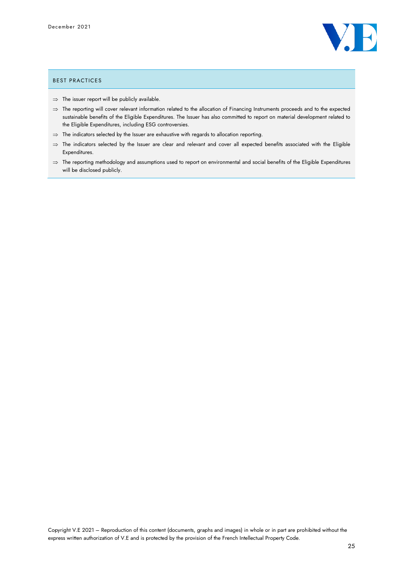

## BEST PRACTICES

- $\Rightarrow$  The issuer report will be publicly available.
- $\Rightarrow$  The reporting will cover relevant information related to the allocation of Financing Instruments proceeds and to the expected sustainable benefits of the Eligible Expenditures. The Issuer has also committed to report on material development related to the Eligible Expenditures, including ESG controversies.
- $\Rightarrow$  The indicators selected by the Issuer are exhaustive with regards to allocation reporting.
- $\Rightarrow$  The indicators selected by the Issuer are clear and relevant and cover all expected benefits associated with the Eligible Expenditures.
- $\Rightarrow$  The reporting methodology and assumptions used to report on environmental and social benefits of the Eligible Expenditures will be disclosed publicly.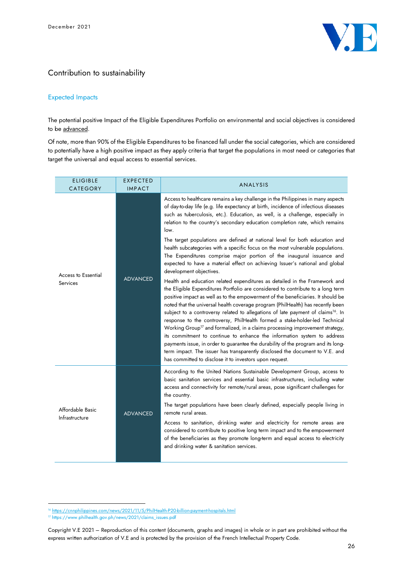

## Contribution to sustainability

## Expected Impacts

The potential positive Impact of the Eligible Expenditures Portfolio on environmental and social objectives is considered to be advanced.

Of note, more than 90% of the Eligible Expenditures to be financed fall under the social categories, which are considered to potentially have a high positive impact as they apply criteria that target the populations in most need or categories that target the universal and equal access to essential services.

| <b>ELIGIBLE</b><br>CATEGORY            | <b>EXPECTED</b><br><b>IMPACT</b> | <b>ANALYSIS</b>                                                                                                                                                                                                                                                                                                                                                                                                                                                                                                                                                                                                                                                                                                                                                                                                                                                                                                                                                                                                                                                                                                                                                                                                                                                                                                                                                                                                                                                                                                                                                                                                                     |
|----------------------------------------|----------------------------------|-------------------------------------------------------------------------------------------------------------------------------------------------------------------------------------------------------------------------------------------------------------------------------------------------------------------------------------------------------------------------------------------------------------------------------------------------------------------------------------------------------------------------------------------------------------------------------------------------------------------------------------------------------------------------------------------------------------------------------------------------------------------------------------------------------------------------------------------------------------------------------------------------------------------------------------------------------------------------------------------------------------------------------------------------------------------------------------------------------------------------------------------------------------------------------------------------------------------------------------------------------------------------------------------------------------------------------------------------------------------------------------------------------------------------------------------------------------------------------------------------------------------------------------------------------------------------------------------------------------------------------------|
| <b>Access to Essential</b><br>Services | <b>ADVANCED</b>                  | Access to healthcare remains a key challenge in the Philippines in many aspects<br>of day-to-day life (e.g. life expectancy at birth, incidence of infectious diseases<br>such as tuberculosis, etc.). Education, as well, is a challenge, especially in<br>relation to the country's secondary education completion rate, which remains<br>low.<br>The target populations are defined at national level for both education and<br>health subcategories with a specific focus on the most vulnerable populations.<br>The Expenditures comprise major portion of the inaugural issuance and<br>expected to have a material effect on achieving Issuer's national and global<br>development objectives.<br>Health and education related expenditures as detailed in the Framework and<br>the Eligible Expenditures Portfolio are considered to contribute to a long term<br>positive impact as well as to the empowerment of the beneficiaries. It should be<br>noted that the universal health coverage program (PhilHealth) has recently been<br>subject to a controversy related to allegations of late payment of claims <sup>16</sup> . In<br>response to the controversy, PhilHealth formed a stake-holder-led Technical<br>Working Group <sup>17</sup> and formalized, in a claims processing improvement strategy,<br>its commitment to continue to enhance the information system to address<br>payments issue, in order to guarantee the durability of the program and its long-<br>term impact. The issuer has transparently disclosed the document to V.E. and<br>has committed to disclose it to investors upon request. |
| Affordable Basic<br>Infrastructure     | <b>ADVANCED</b>                  | According to the United Nations Sustainable Development Group, access to<br>basic sanitation services and essential basic infrastructures, including water<br>access and connectivity for remote/rural areas, pose significant challenges for<br>the country.<br>The target populations have been clearly defined, especially people living in<br>remote rural areas.<br>Access to sanitation, drinking water and electricity for remote areas are<br>considered to contribute to positive long term impact and to the empowerment<br>of the beneficiaries as they promote long-term and equal access to electricity<br>and drinking water & sanitation services.                                                                                                                                                                                                                                                                                                                                                                                                                                                                                                                                                                                                                                                                                                                                                                                                                                                                                                                                                                   |

<sup>&</sup>lt;sup>16</sup> <https://cnnphilippines.com/news/2021/11/5/PhilHealth-P20-billion-payment-hospitals.html>

<sup>17</sup> https://www.philhealth.gov.ph/news/2021/claims\_issues.pdf

Copyright V.E 2021 – Reproduction of this content (documents, graphs and images) in whole or in part are prohibited without the express written authorization of V.E and is protected by the provision of the French Intellectual Property Code.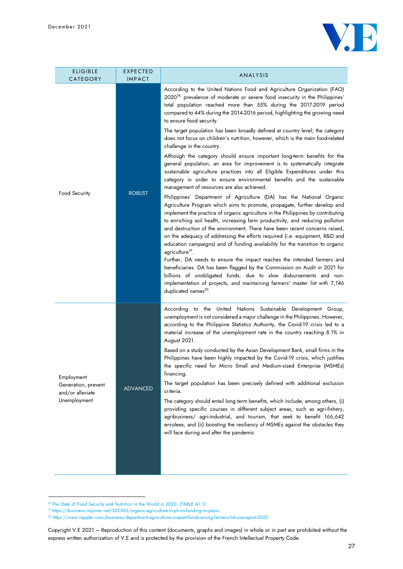

| <b>ELIGIBLE</b><br>CATEGORY                                           | <b>EXPECTED</b><br><b>IMPACT</b> | ANALYSIS                                                                                                                                                                                                                                                                                                                                                                                                                                                                                                                                                                                                                                                                                                                                                                                                                                                                                                                                                                                                                                                                                                                                                                                                                                                                                                                                                                                                                                                                                                                                                                                                                                                                                                                                                                                                                                                                        |
|-----------------------------------------------------------------------|----------------------------------|---------------------------------------------------------------------------------------------------------------------------------------------------------------------------------------------------------------------------------------------------------------------------------------------------------------------------------------------------------------------------------------------------------------------------------------------------------------------------------------------------------------------------------------------------------------------------------------------------------------------------------------------------------------------------------------------------------------------------------------------------------------------------------------------------------------------------------------------------------------------------------------------------------------------------------------------------------------------------------------------------------------------------------------------------------------------------------------------------------------------------------------------------------------------------------------------------------------------------------------------------------------------------------------------------------------------------------------------------------------------------------------------------------------------------------------------------------------------------------------------------------------------------------------------------------------------------------------------------------------------------------------------------------------------------------------------------------------------------------------------------------------------------------------------------------------------------------------------------------------------------------|
| Food Security                                                         | <b>ROBUST</b>                    | According to the United Nations Food and Agriculture Organization (FAO)<br>2020 <sup>18,</sup> prevalence of moderate or severe food insecurity in the Philippines'<br>total population reached more than 55% during the 2017-2019 period<br>compared to 44% during the 2014-2016 period, highlighting the growing need<br>to ensure food security.<br>The target population has been broadly defined at country level; the category<br>does not focus on children's nutrition, however, which is the main food-related<br>challenge in the country.<br>Although the category should ensure important long-term benefits for the<br>general population, an area for improvement is to systematically integrate<br>sustainable agriculture practices into all Eligible Expenditures under this<br>category in order to ensure environmental benefits and the sustainable<br>management of resources are also achieved.<br>Philippines' Department of Agriculture (DA) has the National Organic<br>Agriculture Program which aims to promote, propagate, further develop and<br>implement the practice of organic agriculture in the Philippines by contributing<br>to enriching soil health, increasing farm productivity, and reducing pollution<br>and destruction of the environment. There have been recent concerns raised,<br>on the adequacy of addressing the efforts required (i.e. equipment, R&D and<br>education campaigns) and of funding availability for the transition to organic<br>agriculture <sup>19</sup> .<br>Further, DA needs to ensure the impact reaches the intended farmers and<br>beneficiaries. DA has been flagged by the Commission on Audit in 2021 for<br>billions of unobligated funds, due to slow disbursements and non-<br>implementation of projects, and maintaining farmers' master list with 7,146<br>duplicated names <sup>20</sup> . |
| Employment<br>Generation, prevent<br>and/or alleviate<br>Unemployment | <b>ADVANCED</b>                  | According to the United Nations Sustainable Development Group,<br>unemployment is not considered a major challenge in the Philippines. However,<br>according to the Philippine Statistics Authority, the Covid-19 crisis led to a<br>material increase of the unemployment rate in the country reaching 8.1% in<br>August 2021.<br>Based on a study conducted by the Asian Development Bank, small firms in the<br>Philippines have been highly impacted by the Covid-19 crisis, which justifies<br>the specific need for Micro Small and Medium-sized Enterprise (MSMEs)<br>financing.<br>The target population has been precisely defined with additional exclusion<br>criteria.<br>The category should entail long term benefits, which include, among others, (i)<br>providing specific courses in different subject areas, such as agri-fishery,<br>agribusiness/ agri-industrial, and tourism, that seek to benefit 166,642<br>enrolees, and (ii) boosting the resiliency of MSMEs against the obstacles they<br>will face during and after the pandemic                                                                                                                                                                                                                                                                                                                                                                                                                                                                                                                                                                                                                                                                                                                                                                                                                  |

<sup>&</sup>lt;sup>18</sup> The State of Food Security and Nutrition in the World in 2020, (TABLE A1.1)

<sup>19</sup> https://business.inquirer.net/322303/organic-agriculture-in-ph-no-funding-no-plans

<sup>20</sup> https://www.rappler.com/business/department-agriculture-unspent-funds-wrong-farmers-list-coa-report-2020

Copyright V.E 2021 – Reproduction of this content (documents, graphs and images) in whole or in part are prohibited without the express written authorization of V.E and is protected by the provision of the French Intellectual Property Code.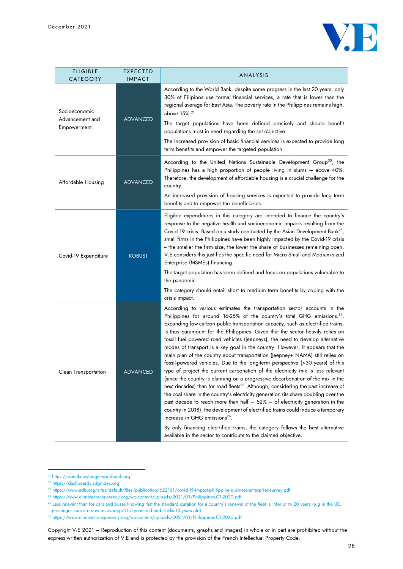

| <b>ELIGIBLE</b><br>CATEGORY                     | <b>EXPECTED</b><br><b>IMPACT</b> | ANALYSIS                                                                                                                                                                                                                                                                                                                                                                                                                                                                                                                                                                                                                                                                                                                                                                                                                                                                                                                                                                                                                                                                                                                                                                                                                                                                                                                                                                                                        |
|-------------------------------------------------|----------------------------------|-----------------------------------------------------------------------------------------------------------------------------------------------------------------------------------------------------------------------------------------------------------------------------------------------------------------------------------------------------------------------------------------------------------------------------------------------------------------------------------------------------------------------------------------------------------------------------------------------------------------------------------------------------------------------------------------------------------------------------------------------------------------------------------------------------------------------------------------------------------------------------------------------------------------------------------------------------------------------------------------------------------------------------------------------------------------------------------------------------------------------------------------------------------------------------------------------------------------------------------------------------------------------------------------------------------------------------------------------------------------------------------------------------------------|
| Socioeconomic<br>Advancement and<br>Empowerment | <b>ADVANCED</b>                  | According to the World Bank, despite some progress in the last 20 years, only<br>30% of Filipinos use formal financial services, a rate that is lower than the<br>regional average for East Asia. The poverty rate in the Philippines remains high,<br>above 15%. <sup>21</sup><br>The target populations have been defined precisely and should benefit<br>populations most in need regarding the set objective.<br>The increased provision of basic financial services is expected to provide long<br>term benefits and empower the targeted population.                                                                                                                                                                                                                                                                                                                                                                                                                                                                                                                                                                                                                                                                                                                                                                                                                                                      |
| Affordable Housing                              | <b>ADVANCED</b>                  | According to the United Nations Sustainable Development Group <sup>22</sup> , the<br>Philippines has a high proportion of people living in slums - above 40%.<br>Therefore, the development of affordable housing is a crucial challenge for the<br>country.<br>An increased provision of housing services is expected to provide long term<br>benefits and to empower the beneficiaries.                                                                                                                                                                                                                                                                                                                                                                                                                                                                                                                                                                                                                                                                                                                                                                                                                                                                                                                                                                                                                       |
| Covid-19 Expenditure                            | <b>ROBUST</b>                    | Eligible expenditures in this category are intended to finance the country's<br>response to the negative health and socioeconomic impacts resulting from the<br>Covid 19 crisis. Based on a study conducted by the Asian Development Bank <sup>23</sup> ,<br>small firms in the Philippines have been highly impacted by the Covid-19 crisis<br>- the smaller the firm size, the lower the share of businesses remaining open.<br>V.E considers this justifies the specific need for Micro Small and Medium-sized<br>Enterprise (MSMEs) financing.<br>The target population has been defined and focus on populations vulnerable to<br>the pandemic.<br>The category should entail short to medium term benefits by coping with the<br>crisis impact.                                                                                                                                                                                                                                                                                                                                                                                                                                                                                                                                                                                                                                                           |
| Clean Transportation                            | ADVANCED                         | According to various estimates the transportation sector accounts in the<br>Philippines for around 16-25% of the country's total GHG emissions. <sup>24</sup> .<br>Expanding low-carbon public transportation capacity, such as electrified trains,<br>is thus paramount for the Philippines. Given that the sector heavily relies on<br>fossil fuel powered road vehicles (Jeepneys), the need to develop alternative<br>modes of transport is a key goal in the country. However, it appears that the<br>main plan of the country about transportation (Jeepney+ NAMA) still relies on<br>fossil-powered vehicles. Due to the long-term perspective (>30 years) of this<br>type of project the current carbonation of the electricity mix is less relevant<br>(since the country is planning on a progressive decarbonation of the mix in the<br>next decades) than for road fleets <sup>25</sup> . Although, considering the past increase of<br>the coal share in the country's electricity generation (its share doubling over the<br>past decade to reach more than half $-52%$ - of electricity generation in the<br>country in 2018), the development of electrified trains could induce a temporary<br>increase in GHG emissions <sup>26</sup> .<br>By only financing electrified trains, the category follows the best alternative<br>available in the sector to contribute to the claimed objective. |

<sup>21</sup> https://openknowledge.worldbank.org

<sup>22</sup> https://dashboards.sdgindex.org

<sup>23</sup> https://www.adb.org/sites/default/files/publication/622161/covid-19-impact-philippine-business-enterprise-survey.pdf

<sup>24</sup> https://www.climate-transparency.org/wp-content/uploads/2021/01/Philippines-CT-2020.pdf

<sup>&</sup>lt;sup>25</sup> Less relevant than for cars and buses knowing that the standard duration for a country's renewal of the fleet is inferior to 20 years (e.g in the UE,

passenger cars are now on average 11.5 years old and trucks 13 years old).

<sup>26</sup> https://www.climate-transparency.org/wp-content/uploads/2021/01/Philippines-CT-2020.pdf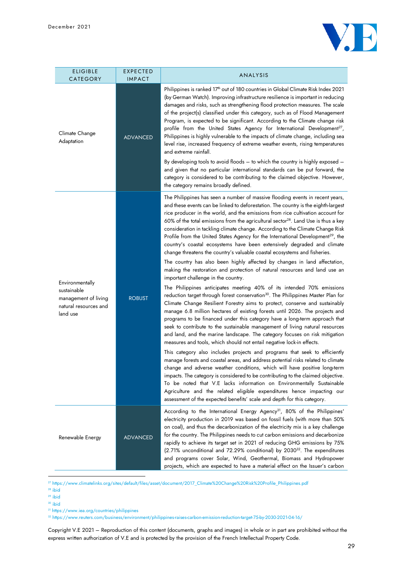

| <b>ELIGIBLE</b><br>CATEGORY                                                                 | <b>EXPECTED</b><br><b>IMPACT</b> | ANALYSIS                                                                                                                                                                                                                                                                                                                                                                                                                                                                                                                                                                                                                                                                                                                                                                                                                                                                                                                                                                                                                                                                                                                                                                                                                                                                                                                                                                                                                                                                                                                                                                                                                                                                                                                                                                                                                                                                                                                                                                                                                                                                                                                          |
|---------------------------------------------------------------------------------------------|----------------------------------|-----------------------------------------------------------------------------------------------------------------------------------------------------------------------------------------------------------------------------------------------------------------------------------------------------------------------------------------------------------------------------------------------------------------------------------------------------------------------------------------------------------------------------------------------------------------------------------------------------------------------------------------------------------------------------------------------------------------------------------------------------------------------------------------------------------------------------------------------------------------------------------------------------------------------------------------------------------------------------------------------------------------------------------------------------------------------------------------------------------------------------------------------------------------------------------------------------------------------------------------------------------------------------------------------------------------------------------------------------------------------------------------------------------------------------------------------------------------------------------------------------------------------------------------------------------------------------------------------------------------------------------------------------------------------------------------------------------------------------------------------------------------------------------------------------------------------------------------------------------------------------------------------------------------------------------------------------------------------------------------------------------------------------------------------------------------------------------------------------------------------------------|
| Climate Change<br>Adaptation                                                                | <b>ADVANCED</b>                  | Philippines is ranked 17 <sup>th</sup> out of 180 countries in Global Climate Risk Index 2021<br>(by German Watch). Improving infrastructure resilience is important in reducing<br>damages and risks, such as strengthening flood protection measures. The scale<br>of the project(s) classified under this category, such as of Flood Management<br>Program, is expected to be significant. According to the Climate change risk<br>profile from the United States Agency for International Development <sup>27</sup> ,<br>Philippines is highly vulnerable to the impacts of climate change, including sea<br>level rise, increased frequency of extreme weather events, rising temperatures<br>and extreme rainfall.<br>By developing tools to avoid floods $-$ to which the country is highly exposed $-$<br>and given that no particular international standards can be put forward, the<br>category is considered to be contributing to the claimed objective. However,<br>the category remains broadly defined.                                                                                                                                                                                                                                                                                                                                                                                                                                                                                                                                                                                                                                                                                                                                                                                                                                                                                                                                                                                                                                                                                                           |
| Environmentally<br>sustainable<br>management of living<br>natural resources and<br>land use | <b>ROBUST</b>                    | The Philippines has seen a number of massive flooding events in recent years,<br>and these events can be linked to deforestation. The country is the eighth-largest<br>rice producer in the world, and the emissions from rice cultivation account for<br>60% of the total emissions from the agricultural sector <sup>28</sup> . Land Use is thus a key<br>consideration in tackling climate change. According to the Climate Change Risk<br>Profile from the United States Agency for the International Development <sup>29</sup> , the<br>country's coastal ecosystems have been extensively degraded and climate<br>change threatens the country's valuable coastal ecosystems and fisheries.<br>The country has also been highly affected by changes in land affectation,<br>making the restoration and protection of natural resources and land use an<br>important challenge in the country.<br>The Philippines anticipates meeting 40% of its intended 70% emissions<br>reduction target through forest conservation <sup>30</sup> . The Philippines Master Plan for<br>Climate Change Resilient Forestry aims to protect, conserve and sustainably<br>manage 6.8 million hectares of existing forests until 2026. The projects and<br>programs to be financed under this category have a long-term approach that<br>seek to contribute to the sustainable management of living natural resources<br>and land, and the marine landscape. The category focuses on risk mitigation<br>measures and tools, which should not entail negative lock-in effects.<br>This category also includes projects and programs that seek to efficiently<br>manage forests and coastal areas, and address potential risks related to climate<br>change and adverse weather conditions, which will have positive long-term<br>impacts. The category is considered to be contributing to the claimed objective.<br>To be noted that V.E lacks information on Environmentally Sustainable<br>Agriculture and the related eligible expenditures hence impacting our<br>assessment of the expected benefits' scale and depth for this category. |
| Renewable Energy                                                                            | <b>ADVANCED</b>                  | According to the International Energy Agency <sup>31</sup> , 80% of the Philippines'<br>electricity production in 2019 was based on fossil fuels (with more than 50%<br>on coal), and thus the decarbonization of the electricity mix is a key challenge<br>for the country. The Philippines needs to cut carbon emissions and decarbonize<br>rapidly to achieve its target set in 2021 of reducing GHG emissions by 75%<br>(2.71% unconditional and 72.29% conditional) by 2030 <sup>32</sup> . The expenditures<br>and programs cover Solar, Wind, Geothermal, Biomass and Hydropower<br>projects, which are expected to have a material effect on the Issuer's carbon                                                                                                                                                                                                                                                                                                                                                                                                                                                                                                                                                                                                                                                                                                                                                                                                                                                                                                                                                                                                                                                                                                                                                                                                                                                                                                                                                                                                                                                          |

<sup>27</sup> https://www.climatelinks.org/sites/default/files/asset/document/2017\_Climate%20Change%20Risk%20Profile\_Philippines.pdf

 $28$  ibid

 $29$  ibid

<sup>30</sup> ibid

<sup>31</sup> https://www.iea.org/countries/philippines

<sup>32</sup> https://www.reuters.com/business/environment/philippines-raises-carbon-emission-reduction-target-75-by-2030-2021-04-16/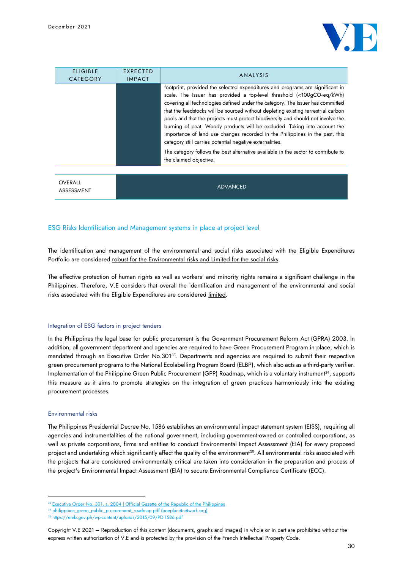

| <b>ELIGIBLE</b><br><b>CATEGORY</b> | EXPECTED<br><b>IMPACT</b> | ANALYSIS                                                                                                                                                                                                                                                                                                                                                                                                                                                                                                                                                                                                                                                                                                                                                   |
|------------------------------------|---------------------------|------------------------------------------------------------------------------------------------------------------------------------------------------------------------------------------------------------------------------------------------------------------------------------------------------------------------------------------------------------------------------------------------------------------------------------------------------------------------------------------------------------------------------------------------------------------------------------------------------------------------------------------------------------------------------------------------------------------------------------------------------------|
|                                    |                           | footprint, provided the selected expenditures and programs are significant in<br>scale. The Issuer has provided a top-level threshold (<100gCO2eq/kWh)<br>covering all technologies defined under the category. The Issuer has committed<br>that the feedstocks will be sourced without depleting existing terrestrial carbon<br>pools and that the projects must protect biodiversity and should not involve the<br>burning of peat. Woody products will be excluded. Taking into account the<br>importance of land use changes recorded in the Philippines in the past, this<br>category still carries potential negative externalities.<br>The category follows the best alternative available in the sector to contribute to<br>the claimed objective. |
| <b>OVERALL</b><br>ASSESSMENT       |                           | <b>ADVANCED</b>                                                                                                                                                                                                                                                                                                                                                                                                                                                                                                                                                                                                                                                                                                                                            |

## ESG Risks Identification and Management systems in place at project level

The identification and management of the environmental and social risks associated with the Eligible Expenditures Portfolio are considered robust for the Environmental risks and Limited for the social risks.

The effective protection of human rights as well as workers' and minority rights remains a significant challenge in the Philippines. Therefore, V.E considers that overall the identification and management of the environmental and social risks associated with the Eligible Expenditures are considered limited.

#### Integration of ESG factors in project tenders

In the Philippines the legal base for public procurement is the Government Procurement Reform Act (GPRA) 2003. In addition, all government department and agencies are required to have Green Procurement Program in place, which is mandated through an Executive Order No.301<sup>33</sup>. Departments and agencies are required to submit their respective green procurement programs to the National Ecolabelling Program Board (ELBP), which also acts as a third-party verifier. Implementation of the Philippine Green Public Procurement (GPP) Roadmap, which is a voluntary instrument<sup>34</sup>, supports this measure as it aims to promote strategies on the integration of green practices harmoniously into the existing procurement processes.

#### Environmental risks

The Philippines Presidential Decree No. 1586 establishes an environmental impact statement system (EISS), requiring all agencies and instrumentalities of the national government, including government-owned or controlled corporations, as well as private corporations, firms and entities to conduct Environmental Impact Assessment (EIA) for every proposed project and undertaking which significantly affect the quality of the environment<sup>35</sup>. All environmental risks associated with the projects that are considered environmentally critical are taken into consideration in the preparation and process of the project's Environmental Impact Assessment (EIA) to secure Environmental Compliance Certificate (ECC).

<sup>&</sup>lt;sup>33</sup> Executive Order No. 301, [s. 2004 | Official Gazette of the Republic of the Philippines](https://www.officialgazette.gov.ph/2004/03/29/executive-order-no-301-s-2004/)

<sup>&</sup>lt;sup>4</sup> philippines green\_public\_procurement\_roadmap.pdf (oneplanetnetwork.org)

<sup>35</sup> https://emb.gov.ph/wp-content/uploads/2015/09/PD-1586.pdf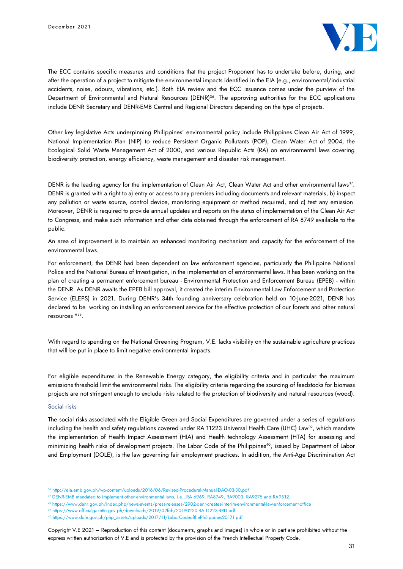

The ECC contains specific measures and conditions that the project Proponent has to undertake before, during, and after the operation of a project to mitigate the environmental impacts identified in the EIA (e.g., environmental/industrial accidents, noise, odours, vibrations, etc.). Both EIA review and the ECC issuance comes under the purview of the Department of Environmental and Natural Resources (DENR)<sup>36</sup>. The approving authorities for the ECC applications include DENR Secretary and DENR-EMB Central and Regional Directors depending on the type of projects.

Other key legislative Acts underpinning Philippines' environmental policy include Philippines Clean Air Act of 1999, National Implementation Plan (NIP) to reduce Persistent Organic Pollutants (POP), Clean Water Act of 2004, the Ecological Solid Waste Management Act of 2000, and various Republic Acts (RA) on environmental laws covering biodiversity protection, energy efficiency, waste management and disaster risk management.

DENR is the leading agency for the implementation of Clean Air Act, Clean Water Act and other environmental laws $^{37}\!$ . DENR is granted with a right to a) entry or access to any premises including documents and relevant materials, b) inspect any pollution or waste source, control device, monitoring equipment or method required, and c) test any emission. Moreover, DENR is required to provide annual updates and reports on the status of implementation of the Clean Air Act to Congress, and make such information and other data obtained through the enforcement of RA 8749 available to the public.

An area of improvement is to maintain an enhanced monitoring mechanism and capacity for the enforcement of the environmental laws.

For enforcement, the DENR had been dependent on law enforcement agencies, particularly the Philippine National Police and the National Bureau of Investigation, in the implementation of environmental laws. It has been working on the plan of creating a permanent enforcement bureau - Environmental Protection and Enforcement Bureau (EPEB) - within the DENR. As DENR awaits the EPEB bill approval, it created the interim Environmental Law Enforcement and Protection Service (ELEPS) in 2021. During DENR's 34th founding anniversary celebration held on 10-June-2021, DENR has declared to be working on installing an enforcement service for the effective protection of our forests and other natural resources " 38 .

With regard to spending on the National Greening Program, V.E. lacks visibility on the sustainable agriculture practices that will be put in place to limit negative environmental impacts.

For eligible expenditures in the Renewable Energy category, the eligibility criteria and in particular the maximum emissions threshold limit the environmental risks. The eligibility criteria regarding the sourcing of feedstocks for biomass projects are not stringent enough to exclude risks related to the protection of biodiversity and natural resources (wood).

#### Social risks

The social risks associated with the Eligible Green and Social Expenditures are governed under a series of regulations including the health and safety regulations covered under RA 11223 Universal Health Care (UHC) Law<sup>39</sup>, which mandate the implementation of Health Impact Assessment (HIA) and Health technology Assessment (HTA) for assessing and minimizing health risks of development projects. The Labor Code of the Philippines<sup>40</sup>, issued by Department of Labor and Employment (DOLE), is the law governing fair employment practices. In addition, the Anti-Age Discrimination Act

<sup>36</sup> http://eia.emb.gov.ph/wp-content/uploads/2016/06/Revised-Procedural-Manual-DAO-03-30.pdf

<sup>37</sup> DENR-EMB mandated to implement other environmental laws, i.e., RA 6969, RA8749, RA9003, RA9275 and RA9512.

<sup>38</sup> https://www.denr.gov.ph/index.php/news-events/press-releases/2902-denr-creates-interim-environmental-law-enforcement-office

<sup>39</sup> https://www.officialgazette.gov.ph/downloads/2019/02feb/20190220-RA-11223-RRD.pdf

<sup>40</sup> https://www.dole.gov.ph/php\_assets/uploads/2017/11/LaborCodeofthePhilippines20171.pdf

Copyright V.E 2021 – Reproduction of this content (documents, graphs and images) in whole or in part are prohibited without the express written authorization of V.E and is protected by the provision of the French Intellectual Property Code.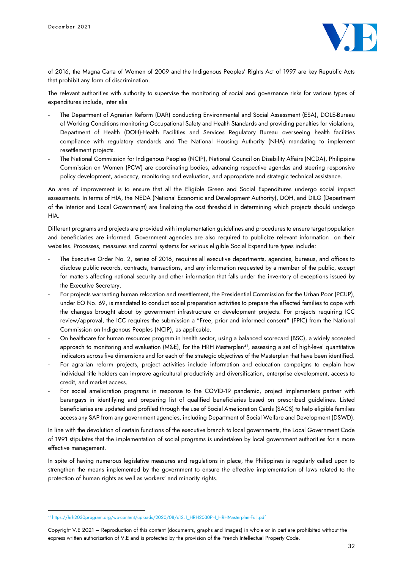

of 2016, the Magna Carta of Women of 2009 and the Indigenous Peoples' Rights Act of 1997 are key Republic Acts that prohibit any form of discrimination.

The relevant authorities with authority to supervise the monitoring of social and governance risks for various types of expenditures include, inter alia

- The Department of Agrarian Reform (DAR) conducting Environmental and Social Assessment (ESA), DOLE-Bureau of Working Conditions monitoring Occupational Safety and Health Standards and providing penalties for violations, Department of Health (DOH)-Health Facilities and Services Regulatory Bureau overseeing health facilities compliance with regulatory standards and The National Housing Authority (NHA) mandating to implement resettlement projects.
- The National Commission for Indigenous Peoples (NCIP), National Council on Disability Affairs (NCDA), Philippine Commission on Women (PCW) are coordinating bodies, advancing respective agendas and steering responsive policy development, advocacy, monitoring and evaluation, and appropriate and strategic technical assistance.

An area of improvement is to ensure that all the Eligible Green and Social Expenditures undergo social impact assessments. In terms of HIA, the NEDA (National Economic and Development Authority), DOH, and DILG (Department of the Interior and Local Government) are finalizing the cost threshold in determining which projects should undergo HIA.

Different programs and projects are provided with implementation guidelines and procedures to ensure target population and beneficiaries are informed. Government agencies are also required to publicize relevant information on their websites. Processes, measures and control systems for various eligible Social Expenditure types include:

- The Executive Order No. 2, series of 2016, requires all executive departments, agencies, bureaus, and offices to disclose public records, contracts, transactions, and any information requested by a member of the public, except for matters affecting national security and other information that falls under the inventory of exceptions issued by the Executive Secretary.
- For projects warranting human relocation and resettlement, the Presidential Commission for the Urban Poor (PCUP), under EO No. 69, is mandated to conduct social preparation activities to prepare the affected families to cope with the changes brought about by government infrastructure or development projects. For projects requiring ICC review/approval, the ICC requires the submission a "Free, prior and informed consent" (FPIC) from the National Commission on Indigenous Peoples (NCIP), as applicable.
- On healthcare for human resources program in health sector, using a balanced scorecard (BSC), a widely accepted approach to monitoring and evaluation (M&E), for the HRH Masterplan<sup>41</sup>, assessing a set of high-level quantitative indicators across five dimensions and for each of the strategic objectives of the Masterplan that have been identified.
- For agrarian reform projects, project activities include information and education campaigns to explain how individual title holders can improve agricultural productivity and diversification, enterprise development, access to credit, and market access.
- For social amelioration programs in response to the COVID-19 pandemic, project implementers partner with barangays in identifying and preparing list of qualified beneficiaries based on prescribed guidelines. Listed beneficiaries are updated and profiled through the use of Social Amelioration Cards (SACS) to help eligible families access any SAP from any government agencies, including Department of Social Welfare and Development (DSWD).

In line with the devolution of certain functions of the executive branch to local governments, the Local Government Code of 1991 stipulates that the implementation of social programs is undertaken by local government authorities for a more effective management.

In spite of having numerous legislative measures and regulations in place, the Philippines is regularly called upon to strengthen the means implemented by the government to ensure the effective implementation of laws related to the protection of human rights as well as workers' and minority rights.

<sup>41</sup> https://hrh2030program.org/wp-content/uploads/2020/08/x12.1\_HRH2030PH\_HRHMasterplan-Full.pdf

Copyright V.E 2021 – Reproduction of this content (documents, graphs and images) in whole or in part are prohibited without the express written authorization of V.E and is protected by the provision of the French Intellectual Property Code.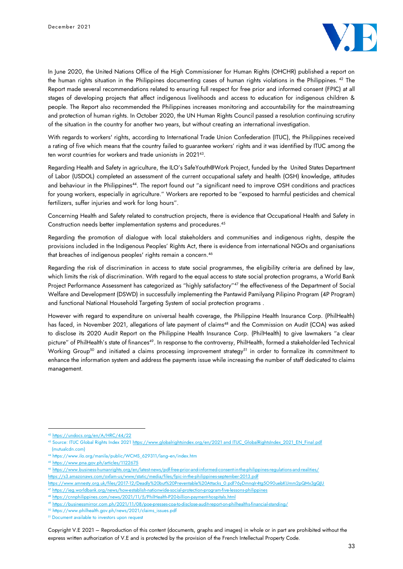

In June 2020, the United Nations Office of the High Commissioner for Human Rights (OHCHR) published a report on the human rights situation in the Philippines documenting cases of human rights violations in the Philippines. <sup>42</sup> The Report made several recommendations related to ensuring full respect for free prior and informed consent (FPIC) at all stages of developing projects that affect indigenous livelihoods and access to education for indigenous children & people. The Report also recommended the Philippines increases monitoring and accountability for the mainstreaming and protection of human rights. In October 2020, the UN Human Rights Council passed a resolution continuing scrutiny of the situation in the country for another two years, but without creating an international investigation.

With regards to workers' rights, according to International Trade Union Confederation (ITUC), the Philippines received a rating of five which means that the country failed to guarantee workers' rights and it was identified by ITUC among the ten worst countries for workers and trade unionists in 2021<sup>43</sup> .

Regarding Health and Safety in agriculture, the ILO's SafeYouth@Work Project, funded by the United States Department of Labor (USDOL) completed an assessment of the current occupational safety and health (OSH) knowledge, attitudes and behaviour in the Philippines<sup>44</sup>. The report found out "a significant need to improve OSH conditions and practices for young workers, especially in agriculture." Workers are reported to be "exposed to harmful pesticides and chemical fertilizers, suffer injuries and work for long hours".

Concerning Health and Safety related to construction projects, there is evidence that Occupational Health and Safety in Construction needs better implementation systems and procedures. 45

Regarding the promotion of dialogue with local stakeholders and communities and indigenous rights, despite the provisions included in the Indigenous Peoples' Rights Act, there is evidence from international NGOs and organisations that breaches of indigenous peoples' rights remain a concern. 46

Regarding the risk of discrimination in access to state social programmes, the eligibility criteria are defined by law, which limits the risk of discrimination. With regard to the equal access to state social protection programs, a World Bank Project Performance Assessment has categorized as "highly satisfactory" <sup>47</sup> the effectiveness of the Department of Social Welfare and Development (DSWD) in successfully implementing the Pantawid Pamilyang Pilipino Program (4P Program) and functional National Household Targeting System of social protection programs .

However with regard to expenditure on universal health coverage, the Philippine Health Insurance Corp. (PhilHealth) has faced, in November 2021, allegations of late payment of claims<sup>48</sup> and the Commission on Audit (COA) was asked to disclose its 2020 Audit Report on the Philippine Health Insurance Corp. (PhilHealth) to give lawmakers "a clear picture" of PhilHealth's state of finances<sup>49</sup>. In response to the controversy, PhilHealth, formed a stakeholder-led Technical Working Group<sup>50</sup> and initiated a claims processing improvement strategy<sup>51</sup> in order to formalize its commitment to enhance the information system and address the payments issue while increasing the number of staff dedicated to claims management.

<sup>42</sup> <https://undocs.org/en/A/HRC/44/22>

<sup>43</sup> Source: ITUC Global Rights Index 2021 [https://www.globalrightsindex.org/en/2021 and ITUC\\_GlobalRightsIndex\\_2021\\_EN\\_Final.pdf](https://www.globalrightsindex.org/en/2021%20and%20ITUC_GlobalRightsIndex_2021_EN_Final.pdf) (mutualcdn.com)

<sup>&</sup>lt;sup>44</sup> https://www.ilo.org/manila/public/WCMS\_629311/lang-en/index.htm

<sup>45</sup> <https://www.pna.gov.ph/articles/1122675>

<sup>46</sup> <https://www.business-humanrights.org/en/latest-news/pdf-free-prior-and-informed-consent-in-the-philippines-regulations-and-realities/> <https://s3.amazonaws.com/oxfam-us/www/static/media/files/fpic-in-the-philippines-september-2013.pdf>

[https://www.amnesty.org.uk/files/2017-12/Deadly%20but%20Preventable%20Attacks\\_0.pdf?6yDmnqIr4tg5O90uebKUmm2pQMx3gQJU](https://www.amnesty.org.uk/files/2017-12/Deadly%20but%20Preventable%20Attacks_0.pdf?6yDmnqIr4tg5O90uebKUmm2pQMx3gQJU)

<sup>47</sup> <https://ieg.worldbank.org/news/how-establish-nationwide-social-protection-program-five-lessons-philippines>

<sup>48</sup> <https://cnnphilippines.com/news/2021/11/5/PhilHealth-P20-billion-payment-hospitals.html>

<sup>49</sup> <https://businessmirror.com.ph/2021/11/08/poe-presses-coa-to-disclose-audit-report-on-philhealths-financial-standing/>

<sup>50</sup> https://www.philhealth.gov.ph/news/2021/claims\_issues.pdf

<sup>&</sup>lt;sup>51</sup> Document available to investors upon request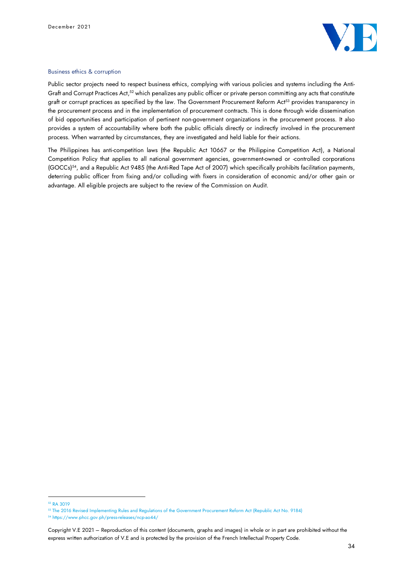

#### Business ethics & corruption

Public sector projects need to respect business ethics, complying with various policies and systems including the Anti-Graft and Corrupt Practices Act,<sup>52</sup> which penalizes any public officer or private person committing any acts that constitute graft or corrupt practices as specified by the law. The Government Procurement Reform Act<sup>53</sup> provides transparency in the procurement process and in the implementation of procurement contracts. This is done through wide dissemination of bid opportunities and participation of pertinent non-government organizations in the procurement process. It also provides a system of accountability where both the public officials directly or indirectly involved in the procurement process. When warranted by circumstances, they are investigated and held liable for their actions.

The Philippines has anti-competition laws (the Republic Act 10667 or the Philippine Competition Act), a National Competition Policy that applies to all national government agencies, government-owned or -controlled corporations (GOCCs)<sup>54</sup>, and a Republic Act 9485 (the Anti-Red Tape Act of 2007) which specifically prohibits facilitation payments, deterring public officer from fixing and/or colluding with fixers in consideration of economic and/or other gain or advantage. All eligible projects are subject to the review of the Commission on Audit.

<sup>52</sup> RA 3019

<sup>53</sup> The 2016 Revised Implementing Rules and Regulations of the Government Procurement Reform Act (Republic Act No. 9184)

<sup>54</sup> https://www.phcc.gov.ph/press-releases/ncp-ao44/

Copyright V.E 2021 – Reproduction of this content (documents, graphs and images) in whole or in part are prohibited without the express written authorization of V.E and is protected by the provision of the French Intellectual Property Code.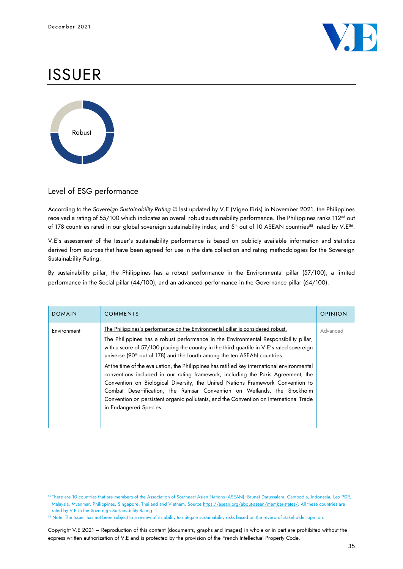

# ISSUER



# Level of ESG performance

According to the *Sovereign Sustainability Rating* © last updated by V.E (Vigeo Eiris) in November 2021, the Philippines received a rating of 55/100 which indicates an overall robust sustainability performance. The Philippines ranks 112<sup>nd</sup> out of 178 countries rated in our global sovereign sustainability index, and 5<sup>th</sup> out of 10 ASEAN countries<sup>55</sup> rated by V.E<sup>56</sup>.

V.E's assessment of the Issuer's sustainability performance is based on publicly available information and statistics derived from sources that have been agreed for use in the data collection and rating methodologies for the Sovereign Sustainability Rating.

By sustainability pillar, the Philippines has a robust performance in the Environmental pillar (57/100), a limited performance in the Social pillar (44/100), and an advanced performance in the Governance pillar (64/100).

| <b>DOMAIN</b> | <b>COMMENTS</b>                                                                                                                                                                                                                                                                                                                                                                                                                                                                                                                                                                                                                                                                                                                                                                                                                   | <b>OPINION</b> |
|---------------|-----------------------------------------------------------------------------------------------------------------------------------------------------------------------------------------------------------------------------------------------------------------------------------------------------------------------------------------------------------------------------------------------------------------------------------------------------------------------------------------------------------------------------------------------------------------------------------------------------------------------------------------------------------------------------------------------------------------------------------------------------------------------------------------------------------------------------------|----------------|
| Environment   | The Philippines's performance on the Environmental pillar is considered robust.<br>The Philippines has a robust performance in the Environmental Responsibility pillar,<br>with a score of 57/100 placing the country in the third quartile in V.E's rated sovereign<br>universe (90 <sup>th</sup> out of 178) and the fourth among the ten ASEAN countries.<br>At the time of the evaluation, the Philippines has ratified key international environmental<br>conventions included in our rating framework, including the Paris Agreement, the<br>Convention on Biological Diversity, the United Nations Framework Convention to<br>Combat Desertification, the Ramsar Convention on Wetlands, the Stockholm<br>Convention on persistent organic pollutants, and the Convention on International Trade<br>in Endangered Species. | Advanced       |

<sup>55</sup> There are 10 countries that are members of the Association of Southeast Asian Nations (ASEAN): Brunei Darussalam, Cambodia, Indonesia, Lao PDR, Malaysia, Myanmar, Philippines, Singapore, Thailand and Vietnam. Source [https://asean.org/about-asean/member-states/.](https://asean.org/about-asean/member-states/) All these countries are rated by V.E in the Sovereign Sustainability Rating.

<sup>56</sup> Note: The Issuer has not been subject to a review of its ability to mitigate sustainability risks based on the review of stakeholder opinion.

Copyright V.E 2021 – Reproduction of this content (documents, graphs and images) in whole or in part are prohibited without the express written authorization of V.E and is protected by the provision of the French Intellectual Property Code.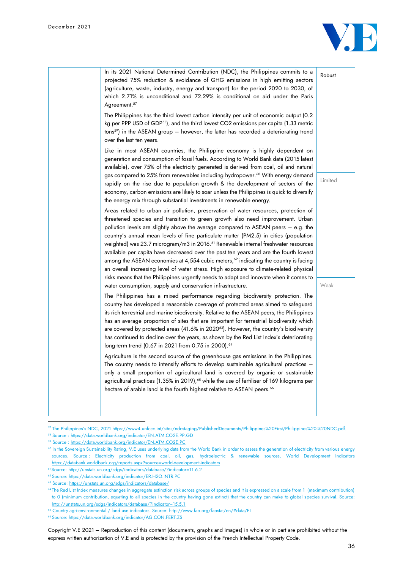

| In its 2021 National Determined Contribution (NDC), the Philippines commits to a<br>projected 75% reduction & avoidance of GHG emissions in high emitting sectors<br>(agriculture, waste, industry, energy and transport) for the period 2020 to 2030, of<br>which 2.71% is unconditional and 72.29% is conditional on aid under the Paris<br>Agreement. <sup>57</sup><br>The Philippines has the third lowest carbon intensity per unit of economic output (0.2)<br>kg per PPP USD of GDP <sup>58</sup> ), and the third lowest CO2 emissions per capita (1.33 metric<br>tons <sup>59</sup> ) in the ASEAN group - however, the latter has recorded a deteriorating trend                                                                                                                                                                                                                                                                                                   | Robust  |
|------------------------------------------------------------------------------------------------------------------------------------------------------------------------------------------------------------------------------------------------------------------------------------------------------------------------------------------------------------------------------------------------------------------------------------------------------------------------------------------------------------------------------------------------------------------------------------------------------------------------------------------------------------------------------------------------------------------------------------------------------------------------------------------------------------------------------------------------------------------------------------------------------------------------------------------------------------------------------|---------|
| over the last ten years.<br>Like in most ASEAN countries, the Philippine economy is highly dependent on<br>generation and consumption of fossil fuels. According to World Bank data (2015 latest<br>available), over 75% of the electricity generated is derived from coal, oil and natural<br>gas compared to 25% from renewables including hydropower. <sup>60</sup> With energy demand<br>rapidly on the rise due to population growth & the development of sectors of the<br>economy, carbon emissions are likely to soar unless the Philippines is quick to diversify                                                                                                                                                                                                                                                                                                                                                                                                   | Limited |
| the energy mix through substantial investments in renewable energy.<br>Areas related to urban air pollution, preservation of water resources, protection of<br>threatened species and transition to green growth also need improvement. Urban<br>pollution levels are slightly above the average compared to ASEAN peers – e.g. the<br>country's annual mean levels of fine particulate matter (PM2.5) in cities (population<br>weighted) was 23.7 microgram/m3 in 2016. <sup>61</sup> Renewable internal freshwater resources<br>available per capita have decreased over the past ten years and are the fourth lowest<br>among the ASEAN economies at 4,554 cubic meters, <sup>62</sup> indicating the country is facing<br>an overall increasing level of water stress. High exposure to climate-related physical<br>risks means that the Philippines urgently needs to adapt and innovate when it comes to<br>water consumption, supply and conservation infrastructure. | Weak    |
| The Philippines has a mixed performance regarding biodiversity protection. The<br>country has developed a reasonable coverage of protected areas aimed to safeguard<br>its rich terrestrial and marine biodiversity. Relative to the ASEAN peers, the Philippines<br>has an average proportion of sites that are important for terrestrial biodiversity which<br>are covered by protected areas (41.6% in 2020 <sup>63</sup> ). However, the country's biodiversity<br>has continued to decline over the years, as shown by the Red List Index's deteriorating<br>long-term trend (0.67 in 2021 from 0.75 in 2000). <sup>64</sup>                                                                                                                                                                                                                                                                                                                                            |         |
| Agriculture is the second source of the greenhouse gas emissions in the Philippines.<br>The country needs to intensify efforts to develop sustainable agricultural practices –<br>only a small proportion of agricultural land is covered by organic or sustainable<br>agricultural practices (1.35% in 2019), <sup>65</sup> while the use of fertiliser of 169 kilograms per<br>hectare of arable land is the fourth highest relative to ASEAN peers. <sup>66</sup>                                                                                                                                                                                                                                                                                                                                                                                                                                                                                                         |         |

<sup>57</sup> The Philippines's NDC, 2021 [https://www4.unfccc.int/sites/ndcstaging/PublishedDocuments/Philippines%20First/Philippines%20-%20NDC.pdf.](https://www4.unfccc.int/sites/ndcstaging/PublishedDocuments/Philippines%20First/Philippines%20-%20NDC.pdf)

<sup>58</sup> Source [: https://data.worldbank.org/indicator/EN.ATM.CO2E.PP.GD](https://data.worldbank.org/indicator/EN.ATM.CO2E.PP.GD)

<sup>59</sup> Source : <https://data.worldbank.org/indicator/EN.ATM.CO2E.PC>

<sup>&</sup>lt;sup>60</sup> In the Sovereign Sustainability Rating, V.E uses underlying data from the World Bank in order to assess the generation of electricity from various energy sources. Source : Electricity production from coal, oil, gas, hydroelectric & renewable sources, World Development Indicators <https://databank.worldbank.org/reports.aspx?source=world-development-indicators>

<sup>61</sup> Source: [http://unstats.un.org/sdgs/indicators/database/?indicator=11.6.2](http://unstats.un.org/sdgs/indicators/database/?indicator=11.6.2v)

<sup>62</sup> Source[: https://data.worldbank.org/indicator/ER.H2O.INTR.PC](https://data.worldbank.org/indicator/ER.H2O.INTR.PC) 

<sup>63</sup> Source[: https://unstats.un.org/sdgs/indicators/database/](https://unstats.un.org/sdgs/indicators/database/)

<sup>64</sup> The Red List Index measures changes in aggregate extinction risk across groups of species and it is expressed on a scale from 1 (maximum contribution) to 0 (minimum contribution, equating to all species in the country having gone extinct) that the country can make to global species survival. Source: <http://unstats.un.org/sdgs/indicators/database/?indicator=15.5.1>

<sup>&</sup>lt;sup>65</sup> Country agri-environmental / land use indicators. Source:<http://www.fao.org/faostat/en/#data/EL>

<sup>66</sup> Source[: https://data.worldbank.org/indicator/AG.CON.FERT.ZS](https://data.worldbank.org/indicator/AG.CON.FERT.ZS)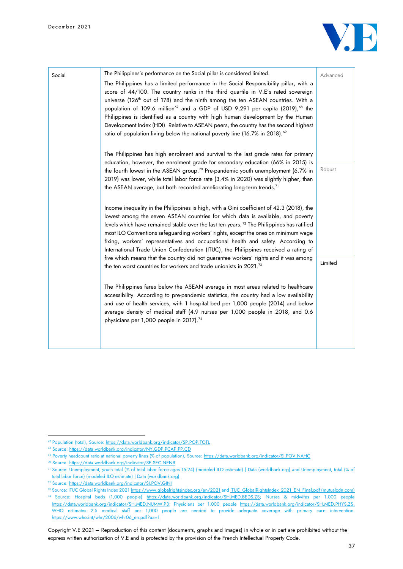

| Social | The Philippines's performance on the Social pillar is considered limited.<br>The Philippines has a limited performance in the Social Responsibility pillar, with a<br>score of 44/100. The country ranks in the third quartile in V.E's rated sovereign<br>universe (126 <sup>th</sup> out of 178) and the ninth among the ten ASEAN countries. With a<br>population of 109.6 million <sup>67</sup> and a GDP of USD 9,291 per capita (2019), <sup>68</sup> the<br>Philippines is identified as a country with high human development by the Human<br>Development Index (HDI). Relative to ASEAN peers, the country has the second highest<br>ratio of population living below the national poverty line (16.7% in 2018). <sup>69</sup> | Advanced |
|--------|-----------------------------------------------------------------------------------------------------------------------------------------------------------------------------------------------------------------------------------------------------------------------------------------------------------------------------------------------------------------------------------------------------------------------------------------------------------------------------------------------------------------------------------------------------------------------------------------------------------------------------------------------------------------------------------------------------------------------------------------|----------|
|        | The Philippines has high enrolment and survival to the last grade rates for primary<br>education, however, the enrolment grade for secondary education (66% in 2015) is<br>the fourth lowest in the ASEAN group. <sup>70</sup> Pre-pandemic youth unemployment (6.7% in<br>2019) was lower, while total labor force rate (3.4% in 2020) was slightly higher, than<br>the ASEAN average, but both recorded ameliorating long-term trends. <sup>71</sup>                                                                                                                                                                                                                                                                                  | Robust   |
|        | Income inequality in the Philippines is high, with a Gini coefficient of 42.3 (2018), the<br>lowest among the seven ASEAN countries for which data is available, and poverty<br>levels which have remained stable over the last ten years. <sup>72</sup> The Philippines has ratified<br>most ILO Conventions safeguarding workers' rights, except the ones on minimum wage<br>fixing, workers' representatives and occupational health and safety. According to<br>International Trade Union Confederation (ITUC), the Philippines received a rating of<br>five which means that the country did not guarantee workers' rights and it was among                                                                                        |          |
|        | the ten worst countries for workers and trade unionists in 2021. <sup>73</sup><br>The Philippines fares below the ASEAN average in most areas related to healthcare<br>accessibility. According to pre-pandemic statistics, the country had a low availability<br>and use of health services, with 1 hospital bed per 1,000 people (2014) and below<br>average density of medical staff (4.9 nurses per 1,000 people in 2018, and 0.6<br>physicians per 1,000 people in 2017). <sup>74</sup>                                                                                                                                                                                                                                            | Limited  |
|        |                                                                                                                                                                                                                                                                                                                                                                                                                                                                                                                                                                                                                                                                                                                                         |          |

<sup>&</sup>lt;sup>67</sup> Population (total), Source: <https://data.worldbank.org/indicator/SP.POP.TOTL>

<sup>68</sup> Source[: https://data.worldbank.org/indicator/NY.GDP.PCAP.PP.CD](https://data.worldbank.org/indicator/NY.GDP.PCAP.PP.CD)

<sup>69</sup> Poverty headcount ratio at national poverty lines (% of population), Source: <https://data.worldbank.org/indicator/SI.POV.NAHC>

<sup>70</sup> Source[: https://data.worldbank.org/indicator/SE.SEC.NENR](https://data.worldbank.org/indicator/SE.SEC.NENR)

<sup>71</sup> Source: [Unemployment, youth total \(% of total labor force ages 15-24\) \(modeled ILO estimate\) | Data \(worldbank.org\)](https://data.worldbank.org/indicator/SL.UEM.1524.ZS) and [Unemployment, total \(% of](https://data.worldbank.org/indicator/SL.UEM.TOTL.ZS)  [total labor force\) \(modeled ILO estimate\) | Data \(worldbank.org\)](https://data.worldbank.org/indicator/SL.UEM.TOTL.ZS)

<sup>72</sup> Source: <https://data.worldbank.org/indicator/SI.POV.GINI>

<sup>73</sup> Source: ITUC Global Rights Index 202[1 https://www.globalrightsindex.org/en/2021](https://www.globalrightsindex.org/en/2021) an[d ITUC\\_GlobalRightsIndex\\_2021\\_EN\\_Final.pdf \(mutualcdn.com\)](https://files.mutualcdn.com/ituc/files/ITUC_GlobalRightsIndex_2021_EN_Final.pdf) <sup>74</sup> Source: Hospital beds (1,000 people) [https://data.worldbank.org/indicator/SH.MED.BEDS.ZS;](https://data.worldbank.org/indicator/SH.MED.BEDS.ZS) Nurses & midwifes per 1,000 people [https://data.worldbank.org/indicator/SH.MED.NUMW.P3;](https://data.worldbank.org/indicator/SH.MED.NUMW.P3) Physicians per 1,000 people [https://data.worldbank.org/indicator/SH.MED.PHYS.ZS.](https://data.worldbank.org/indicator/SH.MED.PHYS.ZS) WHO estimates 2.5 medical staff per 1,000 people are needed to provide adequate coverage with primary care intervention. [https://www.who.int/whr/2006/whr06\\_en.pdf?ua=1](https://www.who.int/whr/2006/whr06_en.pdf?ua=1)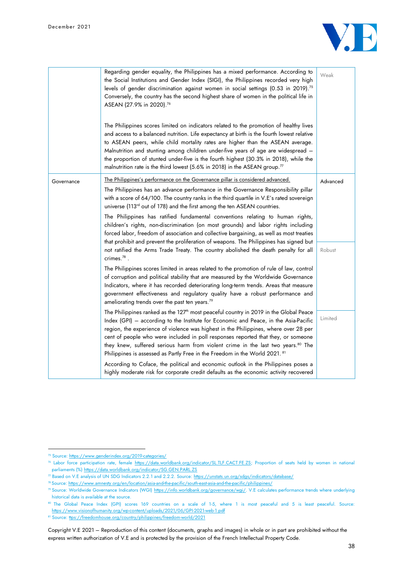December 2021



|            | Regarding gender equality, the Philippines has a mixed performance. According to<br>the Social Institutions and Gender Index (SIGI), the Philippines recorded very high<br>levels of gender discrimination against women in social settings (0.53 in 2019). <sup>75</sup><br>Conversely, the country has the second highest share of women in the political life in<br>ASEAN (27.9% in 2020).76<br>The Philippines scores limited on indicators related to the promotion of healthy lives<br>and access to a balanced nutrition. Life expectancy at birth is the fourth lowest relative<br>to ASEAN peers, while child mortality rates are higher than the ASEAN average.<br>Malnutrition and stunting among children under-five years of age are widespread –<br>the proportion of stunted under-five is the fourth highest (30.3% in 2018), while the<br>malnutrition rate is the third lowest (5.6% in 2018) in the ASEAN group. <sup>77</sup> | Weak               |
|------------|---------------------------------------------------------------------------------------------------------------------------------------------------------------------------------------------------------------------------------------------------------------------------------------------------------------------------------------------------------------------------------------------------------------------------------------------------------------------------------------------------------------------------------------------------------------------------------------------------------------------------------------------------------------------------------------------------------------------------------------------------------------------------------------------------------------------------------------------------------------------------------------------------------------------------------------------------|--------------------|
| Governance | The Philippines's performance on the Governance pillar is considered advanced.<br>The Philippines has an advance performance in the Governance Responsibility pillar<br>with a score of 64/100. The country ranks in the third quartile in V.E's rated sovereign<br>universe (113rd out of 178) and the first among the ten ASEAN countries.<br>The Philippines has ratified fundamental conventions relating to human rights,<br>children's rights, non-discrimination (on most grounds) and labor rights including<br>forced labor, freedom of association and collective bargaining, as well as most treaties<br>that prohibit and prevent the proliferation of weapons. The Philippines has signed but<br>not ratified the Arms Trade Treaty. The country abolished the death penalty for all<br>crimes. $^{78}$ .                                                                                                                            | Advanced<br>Robust |
|            | The Philippines scores limited in areas related to the promotion of rule of law, control<br>of corruption and political stability that are measured by the Worldwide Governance<br>Indicators, where it has recorded deteriorating long-term trends. Areas that measure<br>government effectiveness and regulatory quality have a robust performance and<br>ameliorating trends over the past ten years. <sup>79</sup>                                                                                                                                                                                                                                                                                                                                                                                                                                                                                                                            |                    |
|            | The Philippines ranked as the 127 <sup>th</sup> most peaceful country in 2019 in the Global Peace<br>Index (GPI) - according to the Institute for Economic and Peace, in the Asia-Pacific<br>region, the experience of violence was highest in the Philippines, where over 28 per<br>cent of people who were included in poll responses reported that they, or someone<br>they knew, suffered serious harm from violent crime in the last two years. <sup>80</sup> The<br>Philippines is assessed as Partly Free in the Freedom in the World 2021. 81                                                                                                                                                                                                                                                                                                                                                                                             | Limited            |
|            | According to Coface, the political and economic outlook in the Philippines poses a<br>highly moderate risk for corporate credit defaults as the economic activity recovered                                                                                                                                                                                                                                                                                                                                                                                                                                                                                                                                                                                                                                                                                                                                                                       |                    |

<sup>75</sup> Source: <https://www.genderindex.org/2019-categories/>

<sup>76</sup> Labor force participation rate, female [https://data.worldbank.org/indicator/SL.TLF.CACT.FE.ZS;](https://data.worldbank.org/indicator/SL.TLF.CACT.FE.ZS) Proportion of seats held by women in national parliaments (%)<https://data.worldbank.org/indicator/SG.GEN.PARL.ZS>

<sup>77</sup> Based on V.E analysis of UN SDG Indicators 2.2.1 and 2.2.2. Source: <https://unstats.un.org/sdgs/indicators/database/>

<sup>78</sup> Source[: https://www.amnesty.org/en/location/asia-and-the-pacific/south-east-asia-and-the-pacific/philippines/](https://www.amnesty.org/en/location/asia-and-the-pacific/south-east-asia-and-the-pacific/philippines/)

<sup>79</sup> Source: Worldwide Governance Indicators (WGI) [https://info.worldbank.org/governance/wgi/.](https://info.worldbank.org/governance/wgi/) V.E calculates performance trends where underlying historical data is available at the source.

<sup>80</sup> The Global Peace Index (GPI) scores 169 countries on a scale of 1-5, where 1 is most peaceful and 5 is least peaceful. Source: <https://www.visionofhumanity.org/wp-content/uploads/2021/06/GPI-2021-web-1.pdf>

<sup>81</sup> Source:<ttps://freedomhouse.org/country/philippines/freedom-world/2021>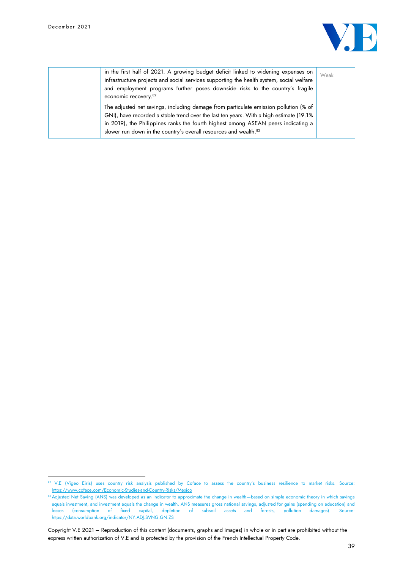

| in the first half of 2021. A growing budget deficit linked to widening expenses on<br>infrastructure projects and social services supporting the health system, social welfare<br>and employment programs further poses downside risks to the country's fragile<br>economic recovery. <sup>82</sup>                                                  | Weak |
|------------------------------------------------------------------------------------------------------------------------------------------------------------------------------------------------------------------------------------------------------------------------------------------------------------------------------------------------------|------|
| The adjusted net savings, including damage from particulate emission pollution (% of<br>GNI), have recorded a stable trend over the last ten years. With a high estimate (19.1%<br>in 2019), the Philippines ranks the fourth highest among ASEAN peers indicating a<br>slower run down in the country's overall resources and wealth. <sup>83</sup> |      |

<sup>82</sup> V.E (Vigeo Eiris) uses country risk analysis published by Coface to assess the country's business resilience to market risks. Source: <https://www.coface.com/Economic-Studies-and-Country-Risks/Mexico>

<sup>83</sup> Adjusted Net Saving (ANS) was developed as an indicator to approximate the change in wealth—based on simple economic theory in which savings equals investment, and investment equals the change in wealth. ANS measures gross national savings, adjusted for gains (spending on education) and losses (consumption of fixed capital, depletion of subsoil assets and forests, pollution damages). Source: <https://data.worldbank.org/indicator/NY.ADJ.SVNG.GN.ZS>

Copyright V.E 2021 – Reproduction of this content (documents, graphs and images) in whole or in part are prohibited without the express written authorization of V.E and is protected by the provision of the French Intellectual Property Code.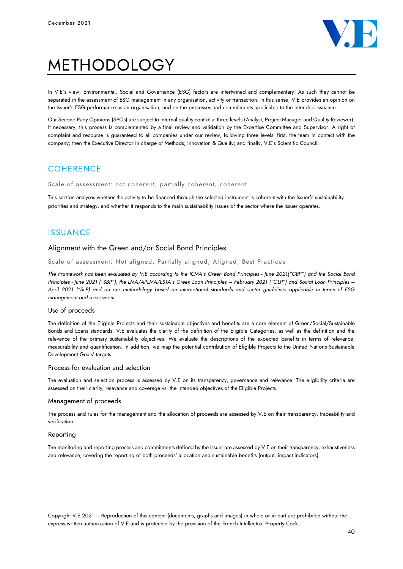

# METHODOLOGY

In V.E's view, Environmental, Social and Governance (ESG) factors are intertwined and complementary. As such they cannot be separated in the assessment of ESG management in any organisation, activity or transaction. In this sense, V.E provides an opinion on the Issuer's ESG performance as an organisation, and on the processes and commitments applicable to the intended issuance.

Our Second Party Opinions (SPOs) are subject to internal quality control at three levels (Analyst, Project Manager and Quality Reviewer). If necessary, this process is complemented by a final review and validation by the Expertise Committee and Supervisor. A right of complaint and recourse is guaranteed to all companies under our review, following three levels: first, the team in contact with the company; then the Executive Director in charge of Methods, Innovation & Quality; and finally, V.E's Scientific Council.

## **COHERENCE**

#### Scale of assessment: not coherent, partially coherent, coherent

This section analyses whether the activity to be financed through the selected instrument is coherent with the Issuer's sustainability priorities and strategy, and whether it responds to the main sustainability issues of the sector where the Issuer operates.

## ISSUANCE

## Alignment with the Green and/or Social Bond Principles

#### Scale of assessment: Not aligned, Partially aligned, Aligned, Best Practices

*The Framework has been evaluated by V.E according to the ICMA's Green Bond Principles - June 2021("GBP") and the Social Bond Principles - June 2021 ("SBP"), the LMA/APLMA/LSTA's Green Loan Principles – February 2021 ("GLP") and Social Loan Principles – April 2021 ("SLP) and on our methodology based on international standards and sector guidelines applicable in terms of ESG management and assessment.*

#### Use of proceeds

The definition of the Eligible Projects and their sustainable objectives and benefits are a core element of Green/Social/Sustainable Bonds and Loans standards. V.E evaluates the clarity of the definition of the Eligible Categories, as well as the definition and the relevance of the primary sustainability objectives. We evaluate the descriptions of the expected benefits in terms of relevance, measurability and quantification. In addition, we map the potential contribution of Eligible Projects to the United Nations Sustainable Development Goals' targets.

### Process for evaluation and selection

The evaluation and selection process is assessed by V.E on its transparency, governance and relevance. The eligibility criteria are assessed on their clarity, relevance and coverage vs. the intended objectives of the Eligible Projects.

#### Management of proceeds

The process and rules for the management and the allocation of proceeds are assessed by V.E on their transparency, traceability and verification.

#### Reporting

The monitoring and reporting process and commitments defined by the Issuer are assessed by V.E on their transparency, exhaustiveness and relevance, covering the reporting of both proceeds' allocation and sustainable benefits (output, impact indicators).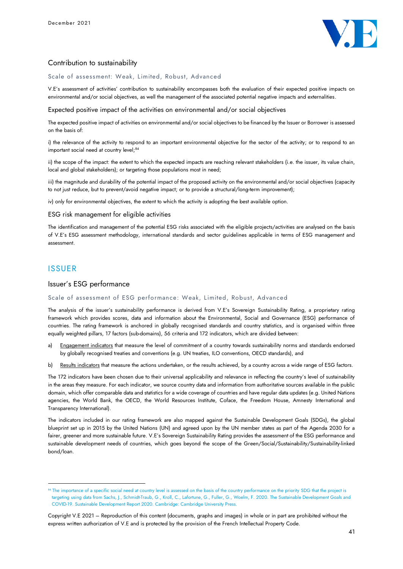

## Contribution to sustainability

Scale of assessment: Weak, Limited, Robust, Advanced

V.E's assessment of activities' contribution to sustainability encompasses both the evaluation of their expected positive impacts on environmental and/or social objectives, as well the management of the associated potential negative impacts and externalities.

Expected positive impact of the activities on environmental and/or social objectives

The expected positive impact of activities on environmental and/or social objectives to be financed by the Issuer or Borrower is assessed on the basis of:

i) the relevance of the activity to respond to an important environmental objective for the sector of the activity; or to respond to an important social need at country level;<sup>84</sup>

ii) the scope of the impact: the extent to which the expected impacts are reaching relevant stakeholders (i.e. the issuer, its value chain, local and global stakeholders); or targeting those populations most in need;

iii) the magnitude and durability of the potential impact of the proposed activity on the environmental and/or social objectives (capacity to not just reduce, but to prevent/avoid negative impact; or to provide a structural/long-term improvement);

iv) only for environmental objectives, the extent to which the activity is adopting the best available option.

#### ESG risk management for eligible activities

The identification and management of the potential ESG risks associated with the eligible projects/activities are analysed on the basis of V.E's ESG assessment methodology, international standards and sector guidelines applicable in terms of ESG management and assessment.

## ISSUER

### Issuer's ESG performance

#### Scale of assessment of ESG performance: Weak, Limited, Robust, Advanced

The analysis of the issuer's sustainability performance is derived from V.E's Sovereign Sustainability Rating, a proprietary rating framework which provides scores, data and information about the Environmental, Social and Governance (ESG) performance of countries. The rating framework is anchored in globally recognised standards and country statistics, and is organised within three equally weighted pillars, 17 factors (sub-domains), 56 criteria and 172 indicators, which are divided between:

- a) Engagement indicators that measure the level of commitment of a country towards sustainability norms and standards endorsed by globally recognised treaties and conventions (e.g. UN treaties, ILO conventions, OECD standards), and
- b) Results indicators that measure the actions undertaken, or the results achieved, by a country across a wide range of ESG factors.

The 172 indicators have been chosen due to their universal applicability and relevance in reflecting the country's level of sustainability in the areas they measure. For each indicator, we source country data and information from authoritative sources available in the public domain, which offer comparable data and statistics for a wide coverage of countries and have regular data updates (e.g. United Nations agencies, the World Bank, the OECD, the World Resources Institute, Coface, the Freedom House, Amnesty International and Transparency International).

The indicators included in our rating framework are also mapped against the Sustainable Development Goals (SDGs), the global blueprint set up in 2015 by the United Nations (UN) and agreed upon by the UN member states as part of the Agenda 2030 for a fairer, greener and more sustainable future. V.E's Sovereign Sustainability Rating provides the assessment of the ESG performance and sustainable development needs of countries, which goes beyond the scope of the Green/Social/Sustainability/Sustainability-linked bond/loan.

<sup>84</sup> The importance of a specific social need at country level is assessed on the basis of the country performance on the priority SDG that the project is targeting using data from Sachs, J., Schmidt-Traub, G., Kroll, C., Lafortune, G., Fuller, G., Woelm, F. 2020. The Sustainable Development Goals and COVID-19. Sustainable Development Report 2020. Cambridge: Cambridge University Press.

Copyright V.E 2021 – Reproduction of this content (documents, graphs and images) in whole or in part are prohibited without the express written authorization of V.E and is protected by the provision of the French Intellectual Property Code.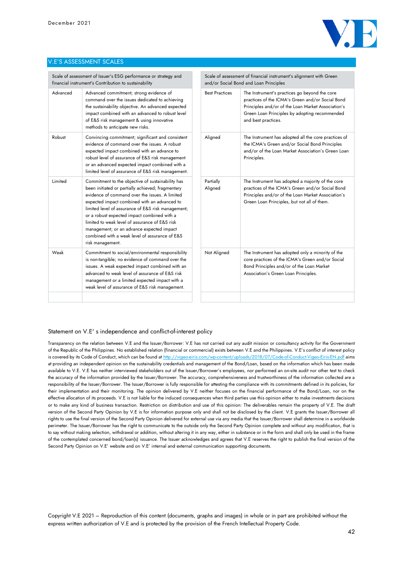

#### V.E'S ASSESSMENT SCALES

| Scale of assessment of Issuer's ESG performance or strategy and<br>financial instrument's Contribution to sustainability |                                                                                                                                                                                                                                                                                                                                                                                                                                                                                    | Scale of assessment of financial instrument's alignment with Green<br>and/or Social Bond and Loan Principles |                                                                                                                                                                                                                                 |
|--------------------------------------------------------------------------------------------------------------------------|------------------------------------------------------------------------------------------------------------------------------------------------------------------------------------------------------------------------------------------------------------------------------------------------------------------------------------------------------------------------------------------------------------------------------------------------------------------------------------|--------------------------------------------------------------------------------------------------------------|---------------------------------------------------------------------------------------------------------------------------------------------------------------------------------------------------------------------------------|
| Advanced                                                                                                                 | Advanced commitment; strong evidence of<br>command over the issues dedicated to achieving<br>the sustainability objective. An advanced expected<br>impact combined with an advanced to robust level<br>of E&S risk management & using innovative<br>methods to anticipate new risks.                                                                                                                                                                                               | <b>Best Practices</b>                                                                                        | The Instrument's practices go beyond the core<br>practices of the ICMA's Green and/or Social Bond<br>Principles and/or of the Loan Market Association's<br>Green Loan Principles by adopting recommended<br>and best practices. |
| Robust                                                                                                                   | Convincing commitment; significant and consistent<br>evidence of command over the issues. A robust<br>expected impact combined with an advance to<br>robust level of assurance of E&S risk management<br>or an advanced expected impact combined with a<br>limited level of assurance of E&S risk management.                                                                                                                                                                      | Aligned                                                                                                      | The Instrument has adopted all the core practices of<br>the ICMA's Green and/or Social Bond Principles<br>and/or of the Loan Market Association's Green Loan<br>Principles.                                                     |
| Limited                                                                                                                  | Commitment to the objective of sustainability has<br>been initiated or partially achieved; fragmentary<br>evidence of command over the issues. A limited<br>expected impact combined with an advanced to<br>limited level of assurance of E&S risk management;<br>or a robust expected impact combined with a<br>limited to weak level of assurance of E&S risk<br>management; or an advance expected impact<br>combined with a weak level of assurance of E&S<br>risk management. | Partially<br>Aligned                                                                                         | The Instrument has adopted a majority of the core<br>practices of the ICMA's Green and/or Social Bond<br>Principles and/or of the Loan Market Association's<br>Green Loan Principles, but not all of them.                      |
| Weak                                                                                                                     | Commitment to social/environmental responsibility<br>is non-tangible; no evidence of command over the<br>issues. A weak expected impact combined with an<br>advanced to weak level of assurance of E&S risk<br>management or a limited expected impact with a<br>weak level of assurance of E&S risk management.                                                                                                                                                                   | Not Aligned                                                                                                  | The Instrument has adopted only a minority of the<br>core practices of the ICMA's Green and/or Social<br>Bond Principles and/or of the Loan Market<br>Association's Green Loan Principles.                                      |
|                                                                                                                          |                                                                                                                                                                                                                                                                                                                                                                                                                                                                                    |                                                                                                              |                                                                                                                                                                                                                                 |

 $\sim$ 

#### Statement on V.E' s independence and conflict-of-interest policy

Transparency on the relation between V.E and the Issuer/Borrower: V.E has not carried out any audit mission or consultancy activity for the Government of the Republic of the Philippines. No established relation (financial or commercial) exists between V.E and the Philippines. V.E's conflict of interest policy is covered by its Code of Conduct, which can be found a[t http://vigeo-eiris.com/wp-content/uploads/2018/07/Code-of-Conduct-Vigeo-Eiris-EN.pdf](http://vigeo-eiris.com/wp-content/uploads/2018/07/Code-of-Conduct-Vigeo-Eiris-EN.pdf) aims at providing an independent opinion on the sustainability credentials and management of the Bond/Loan, based on the information which has been made available to V.E. V.E has neither interviewed stakeholders out of the Issuer/Borrower's employees, nor performed an on-site audit nor other test to check the accuracy of the information provided by the Issuer/Borrower. The accuracy, comprehensiveness and trustworthiness of the information collected are a responsibility of the Issuer/Borrower. The Issuer/Borrower is fully responsible for attesting the compliance with its commitments defined in its policies, for their implementation and their monitoring. The opinion delivered by V.E neither focuses on the financial performance of the Bond/Loan, nor on the effective allocation of its proceeds. V.E is not liable for the induced consequences when third parties use this opinion either to make investments decisions or to make any kind of business transaction. Restriction on distribution and use of this opinion: The deliverables remain the property of V.E. The draft version of the Second Party Opinion by V.E is for information purpose only and shall not be disclosed by the client. V.E grants the Issuer/Borrower all rights to use the final version of the Second Party Opinion delivered for external use via any media that the Issuer/Borrower shall determine in a worldwide perimeter. The Issuer/Borrower has the right to communicate to the outside only the Second Party Opinion complete and without any modification, that is to say without making selection, withdrawal or addition, without altering it in any way, either in substance or in the form and shall only be used in the frame of the contemplated concerned bond/loan(s) issuance. The Issuer acknowledges and agrees that V.E reserves the right to publish the final version of the Second Party Opinion on V.E' website and on V.E' internal and external communication supporting documents.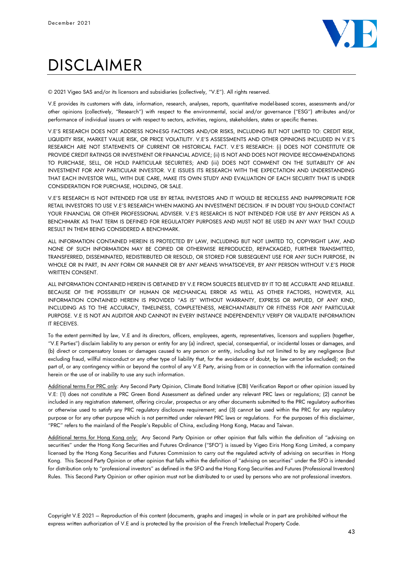

# DISCI AIMFR

© 2021 Vigeo SAS and/or its licensors and subsidiaries (collectively, "V.E"). All rights reserved.

V.E provides its customers with data, information, research, analyses, reports, quantitative model-based scores, assessments and/or other opinions (collectively, "Research") with respect to the environmental, social and/or governance ("ESG") attributes and/or performance of individual issuers or with respect to sectors, activities, regions, stakeholders, states or specific themes.

V.E'S RESEARCH DOES NOT ADDRESS NON-ESG FACTORS AND/OR RISKS, INCLUDING BUT NOT LIMITED TO: CREDIT RISK, LIQUIDITY RISK, MARKET VALUE RISK, OR PRICE VOLATILITY. V.E'S ASSESSMENTS AND OTHER OPINIONS INCLUDED IN V.E'S RESEARCH ARE NOT STATEMENTS OF CURRENT OR HISTORICAL FACT. V.E'S RESEARCH: (i) DOES NOT CONSTITUTE OR PROVIDE CREDIT RATINGS OR INVESTMENT OR FINANCIAL ADVICE; (ii) IS NOT AND DOES NOT PROVIDE RECOMMENDATIONS TO PURCHASE, SELL, OR HOLD PARTICULAR SECURITIES; AND (iii) DOES NOT COMMENT ON THE SUITABILITY OF AN INVESTMENT FOR ANY PARTICULAR INVESTOR. V.E ISSUES ITS RESEARCH WITH THE EXPECTATION AND UNDERSTANDING THAT EACH INVESTOR WILL, WITH DUE CARE, MAKE ITS OWN STUDY AND EVALUATION OF EACH SECURITY THAT IS UNDER CONSIDERATION FOR PURCHASE, HOLDING, OR SALE.

V.E'S RESEARCH IS NOT INTENDED FOR USE BY RETAIL INVESTORS AND IT WOULD BE RECKLESS AND INAPPROPRIATE FOR RETAIL INVESTORS TO USE V.E'S RESEARCH WHEN MAKING AN INVESTMENT DECISION. IF IN DOUBT YOU SHOULD CONTACT YOUR FINANCIAL OR OTHER PROFESSIONAL ADVISER. V.E'S RESEARCH IS NOT INTENDED FOR USE BY ANY PERSON AS A BENCHMARK AS THAT TERM IS DEFINED FOR REGULATORY PURPOSES AND MUST NOT BE USED IN ANY WAY THAT COULD RESULT IN THEM BEING CONSIDERED A BENCHMARK.

ALL INFORMATION CONTAINED HEREIN IS PROTECTED BY LAW, INCLUDING BUT NOT LIMITED TO, COPYRIGHT LAW, AND NONE OF SUCH INFORMATION MAY BE COPIED OR OTHERWISE REPRODUCED, REPACKAGED, FURTHER TRANSMITTED, TRANSFERRED, DISSEMINATED, REDISTRIBUTED OR RESOLD, OR STORED FOR SUBSEQUENT USE FOR ANY SUCH PURPOSE, IN WHOLE OR IN PART, IN ANY FORM OR MANNER OR BY ANY MEANS WHATSOEVER, BY ANY PERSON WITHOUT V.E'S PRIOR WRITTEN CONSENT.

ALL INFORMATION CONTAINED HEREIN IS OBTAINED BY V.E FROM SOURCES BELIEVED BY IT TO BE ACCURATE AND RELIABLE. BECAUSE OF THE POSSIBILITY OF HUMAN OR MECHANICAL ERROR AS WELL AS OTHER FACTORS, HOWEVER, ALL INFORMATION CONTAINED HEREIN IS PROVIDED "AS IS" WITHOUT WARRANTY, EXPRESS OR IMPLIED, OF ANY KIND, INCLUDING AS TO THE ACCURACY, TIMELINESS, COMPLETENESS, MERCHANTABILITY OR FITNESS FOR ANY PARTICULAR PURPOSE. V.E IS NOT AN AUDITOR AND CANNOT IN EVERY INSTANCE INDEPENDENTLY VERIFY OR VALIDATE INFORMATION IT RECEIVES.

To the extent permitted by law, V.E and its directors, officers, employees, agents, representatives, licensors and suppliers (together, "V.E Parties") disclaim liability to any person or entity for any (a) indirect, special, consequential, or incidental losses or damages, and (b) direct or compensatory losses or damages caused to any person or entity, including but not limited to by any negligence (but excluding fraud, willful misconduct or any other type of liability that, for the avoidance of doubt, by law cannot be excluded); on the part of, or any contingency within or beyond the control of any V.E Party, arising from or in connection with the information contained herein or the use of or inability to use any such information.

Additional terms For PRC only: Any Second Party Opinion, Climate Bond Initiative (CBI) Verification Report or other opinion issued by V.E: (1) does not constitute a PRC Green Bond Assessment as defined under any relevant PRC laws or regulations; (2) cannot be included in any registration statement, offering circular, prospectus or any other documents submitted to the PRC regulatory authorities or otherwise used to satisfy any PRC regulatory disclosure requirement; and (3) cannot be used within the PRC for any regulatory purpose or for any other purpose which is not permitted under relevant PRC laws or regulations. For the purposes of this disclaimer, "PRC" refers to the mainland of the People's Republic of China, excluding Hong Kong, Macau and Taiwan.

Additional terms for Hong Kong only: Any Second Party Opinion or other opinion that falls within the definition of "advising on securities" under the Hong Kong Securities and Futures Ordinance ("SFO") is issued by Vigeo Eiris Hong Kong Limited, a company licensed by the Hong Kong Securities and Futures Commission to carry out the regulated activity of advising on securities in Hong Kong. This Second Party Opinion or other opinion that falls within the definition of "advising on securities" under the SFO is intended for distribution only to "professional investors" as defined in the SFO and the Hong Kong Securities and Futures (Professional Investors) Rules. This Second Party Opinion or other opinion must not be distributed to or used by persons who are not professional investors.